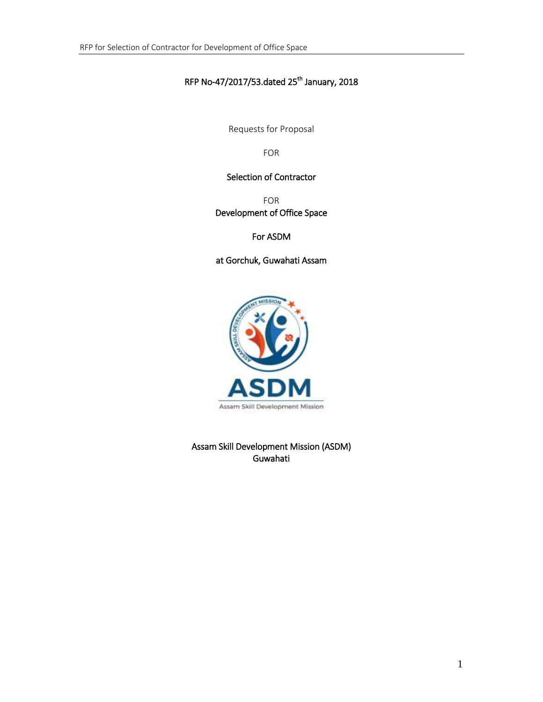### RFP No-47/2017/53.dated 25<sup>th</sup> January, 2018

Requests for Proposal

FOR

#### Selection of Contractor

FOR Development of Office Space

For ASDM

at Gorchuk, Guwahati Assam



Assam Skill Development Mission (ASDM) Guwahati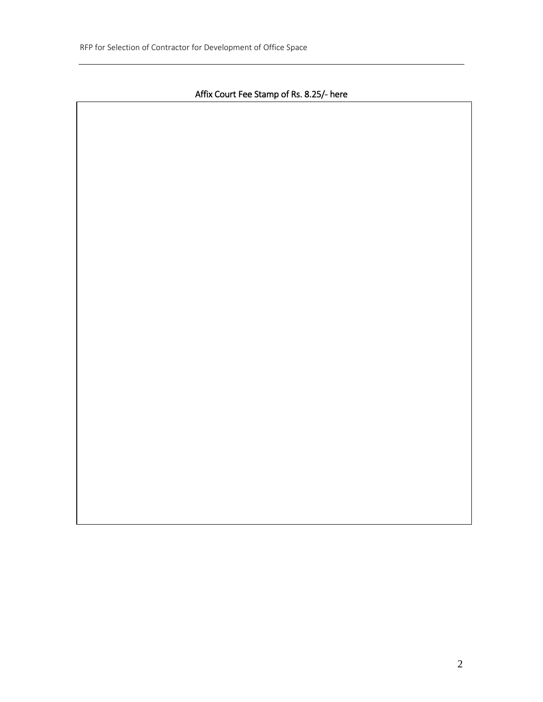## Affix Court Fee Stamp of Rs. 8.25/- here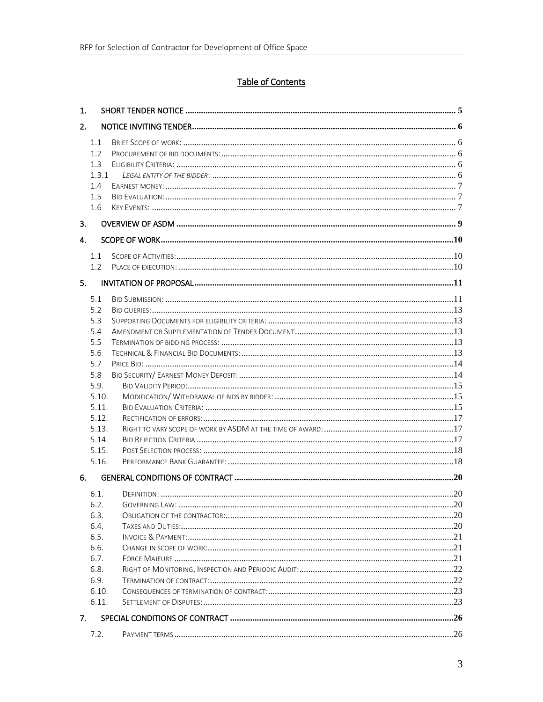# Table of Contents

| 1. |                                                                                                                             |  |
|----|-----------------------------------------------------------------------------------------------------------------------------|--|
| 2. |                                                                                                                             |  |
|    | 1.1<br>1.2<br>1.3<br>1.3.1<br>1.4<br>1.5<br>1.6                                                                             |  |
| 3. |                                                                                                                             |  |
| 4. |                                                                                                                             |  |
|    | 1.1<br>1.2                                                                                                                  |  |
| 5. |                                                                                                                             |  |
| 6. | 5.1<br>5.2<br>5.3<br>5.4<br>5.5<br>5.6<br>5.7<br>5.8<br>5.9.<br>5.10.<br>5.11.<br>5.12.<br>5.13.<br>5.14.<br>5.15.<br>5.16. |  |
|    | 6.1.<br>6.2.<br>6.3.<br>6.4.<br>6.5.<br>6.6.<br>6.7.<br>6.8.<br>6.9.<br>6.10.<br>6.11.                                      |  |
| 7. |                                                                                                                             |  |
|    | 7.2.                                                                                                                        |  |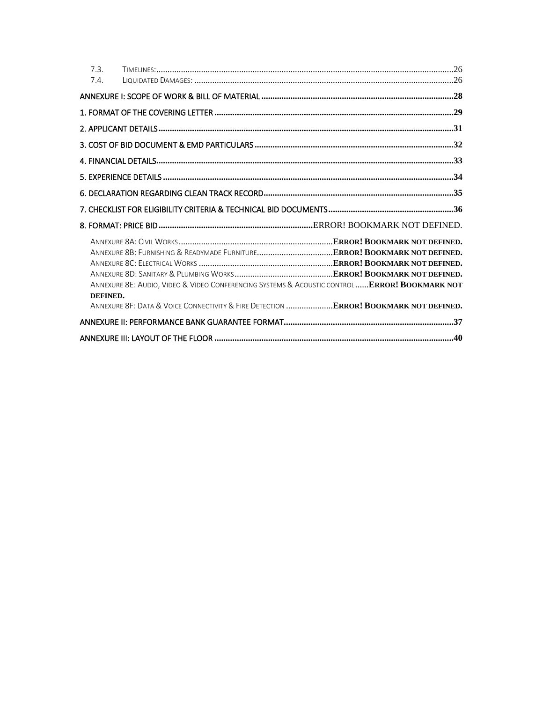| 7.3.<br>7.4. |                                                                                                                                                                                              |  |
|--------------|----------------------------------------------------------------------------------------------------------------------------------------------------------------------------------------------|--|
|              |                                                                                                                                                                                              |  |
|              |                                                                                                                                                                                              |  |
|              |                                                                                                                                                                                              |  |
|              |                                                                                                                                                                                              |  |
|              |                                                                                                                                                                                              |  |
|              |                                                                                                                                                                                              |  |
|              |                                                                                                                                                                                              |  |
|              |                                                                                                                                                                                              |  |
|              |                                                                                                                                                                                              |  |
|              |                                                                                                                                                                                              |  |
| DEFINED.     | ANNEXURE 8E: AUDIO, VIDEO & VIDEO CONFERENCING SYSTEMS & ACOUSTIC CONTROL ERROR! BOOKMARK NOT<br>ANNEXURE 8F: DATA & VOICE CONNECTIVITY & FIRE DETECTION <b>ERROR! BOOKMARK NOT DEFINED.</b> |  |
|              |                                                                                                                                                                                              |  |
|              |                                                                                                                                                                                              |  |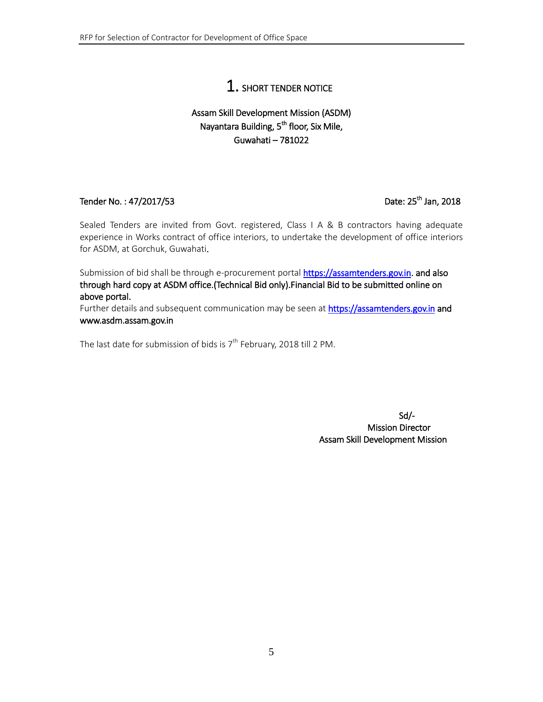# 1. SHORT TENDER NOTICE

## <span id="page-4-0"></span>Assam Skill Development Mission (ASDM) Nayantara Building, 5<sup>th</sup> floor, Six Mile, Guwahati – 781022

#### Tender No.: 47/2017/53

#### <sup>th</sup> Jan, 2018

Sealed Tenders are invited from Govt. registered, Class I A & B contractors having adequate experience in Works contract of office interiors, to undertake the development of office interiors for ASDM, at Gorchuk, Guwahati.

Submission of bid shall be through e-procurement portal [https://assamtenders.gov.in.](https://assamtenders.gov.in/) and also through hard copy at ASDM office.(Technical Bid only).Financial Bid to be submitted online on above portal.

Further details and subsequent communication may be seen at [https://assamtenders.gov.in](https://assamtenders.gov.in/) and www.asdm.assam.gov.in

The last date for submission of bids is  $7^{\text{th}}$  February, 2018 till 2 PM.

 Sd/- Mission Director Assam Skill Development Mission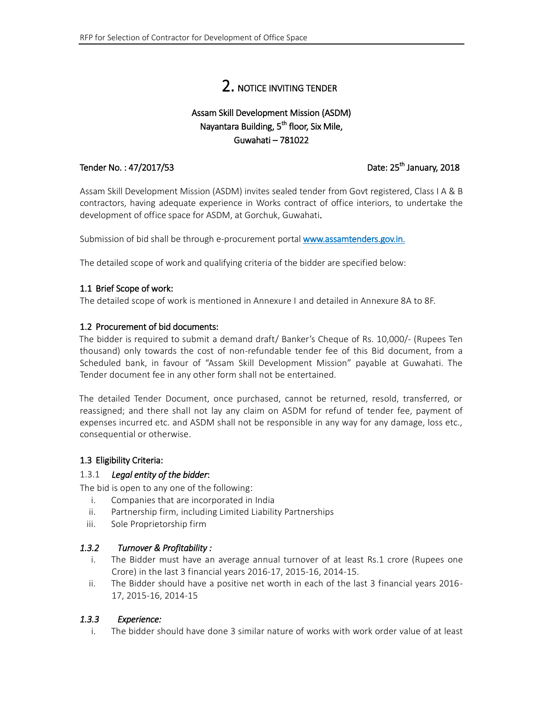# 2. NOTICE INVITING TENDER

### Assam Skill Development Mission (ASDM) Nayantara Building, 5<sup>th</sup> floor, Six Mile, Guwahati – 781022

#### <span id="page-5-0"></span>Tender No.: 47/2017/53

#### <sup>th</sup> January, 2018

Assam Skill Development Mission (ASDM) invites sealed tender from Govt registered, Class I A & B contractors, having adequate experience in Works contract of office interiors, to undertake the development of office space for ASDM, at Gorchuk, Guwahati.

Submission of bid shall be through e-procurement portal www.assamtenders.gov.in.

The detailed scope of work and qualifying criteria of the bidder are specified below:

#### <span id="page-5-1"></span>1.1 Brief Scope of work:

The detailed scope of work is mentioned in Annexure I and detailed in Annexure 8A to 8F.

#### <span id="page-5-2"></span>1.2 Procurement of bid documents:

The bidder is required to submit a demand draft/ Banker's Cheque of Rs. 10,000/- (Rupees Ten thousand) only towards the cost of non-refundable tender fee of this Bid document, from a Scheduled bank, in favour of "Assam Skill Development Mission" payable at Guwahati. The Tender document fee in any other form shall not be entertained.

The detailed Tender Document, once purchased, cannot be returned, resold, transferred, or reassigned; and there shall not lay any claim on ASDM for refund of tender fee, payment of expenses incurred etc. and ASDM shall not be responsible in any way for any damage, loss etc., consequential or otherwise.

#### <span id="page-5-3"></span>1.3 Eligibility Criteria:

#### <span id="page-5-4"></span>1.3.1 *Legal entity of the bidder*:

The bid is open to any one of the following:

- i. Companies that are incorporated in India
- ii. Partnership firm, including Limited Liability Partnerships
- iii. Sole Proprietorship firm

#### *1.3.2 Turnover & Profitability :*

- i. The Bidder must have an average annual turnover of at least Rs.1 crore (Rupees one Crore) in the last 3 financial years 2016-17, 2015-16, 2014-15.
- ii. The Bidder should have a positive net worth in each of the last 3 financial years 2016- 17, 2015-16, 2014-15

#### *1.3.3 Experience:*

i. The bidder should have done 3 similar nature of works with work order value of at least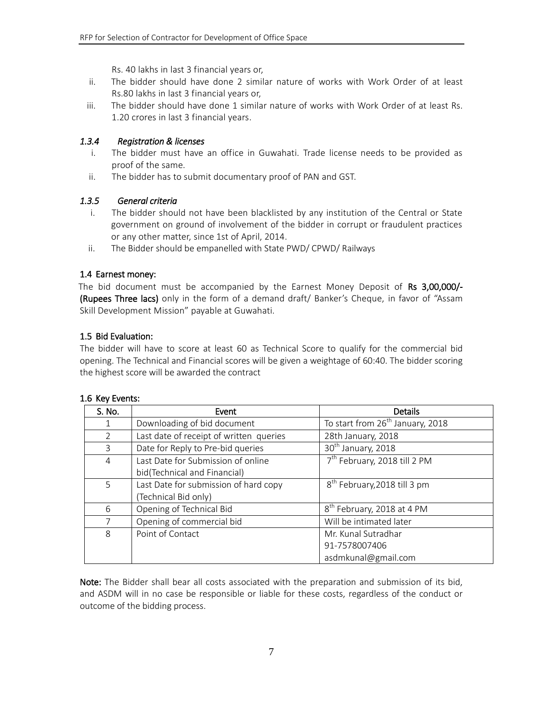Rs. 40 lakhs in last 3 financial years or,

- ii. The bidder should have done 2 similar nature of works with Work Order of at least Rs.80 lakhs in last 3 financial years or,
- iii. The bidder should have done 1 similar nature of works with Work Order of at least Rs. 1.20 crores in last 3 financial years.

#### *1.3.4 Registration & licenses*

- i. The bidder must have an office in Guwahati. Trade license needs to be provided as proof of the same.
- ii. The bidder has to submit documentary proof of PAN and GST.

#### *1.3.5 General criteria*

- i. The bidder should not have been blacklisted by any institution of the Central or State government on ground of involvement of the bidder in corrupt or fraudulent practices or any other matter, since 1st of April, 2014.
- ii. The Bidder should be empanelled with State PWD/ CPWD/ Railways

#### <span id="page-6-0"></span>1.4 Earnest money:

The bid document must be accompanied by the Earnest Money Deposit of Rs 3,00,000/- (Rupees Three lacs) only in the form of a demand draft/ Banker's Cheque, in favor of "Assam Skill Development Mission" payable at Guwahati.

#### <span id="page-6-1"></span>1.5 Bid Evaluation:

The bidder will have to score at least 60 as Technical Score to qualify for the commercial bid opening. The Technical and Financial scores will be given a weightage of 60:40. The bidder scoring the highest score will be awarded the contract

<span id="page-6-2"></span>

|  |  | 1.6 Key Events: |
|--|--|-----------------|
|--|--|-----------------|

| S. No.         | Event                                   | Details                                      |
|----------------|-----------------------------------------|----------------------------------------------|
|                | Downloading of bid document             | To start from 26 <sup>th</sup> January, 2018 |
| $\overline{2}$ | Last date of receipt of written queries | 28th January, 2018                           |
| 3              | Date for Reply to Pre-bid queries       | 30 <sup>th</sup> January, 2018               |
| $\overline{4}$ | Last Date for Submission of online      | 7 <sup>th</sup> February, 2018 till 2 PM     |
|                | bid(Technical and Financial)            |                                              |
| 5              | Last Date for submission of hard copy   | 8 <sup>th</sup> February, 2018 till 3 pm     |
|                | (Technical Bid only)                    |                                              |
| 6              | Opening of Technical Bid                | 8 <sup>th</sup> February, 2018 at 4 PM       |
| 7              | Opening of commercial bid               | Will be intimated later                      |
| 8              | Point of Contact                        | Mr. Kunal Sutradhar                          |
|                |                                         | 91-7578007406                                |
|                |                                         | asdmkunal@gmail.com                          |

Note: The Bidder shall bear all costs associated with the preparation and submission of its bid, and ASDM will in no case be responsible or liable for these costs, regardless of the conduct or outcome of the bidding process.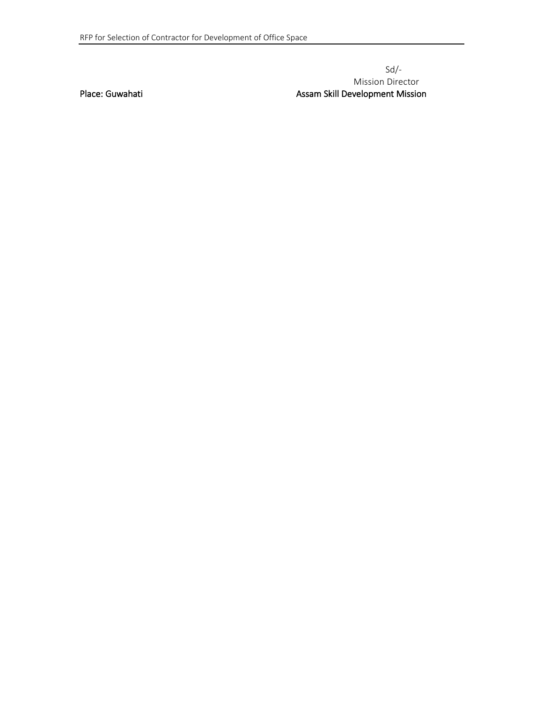#### Sd/- Mission Director Place: Guwahati Assam Skill Development Mission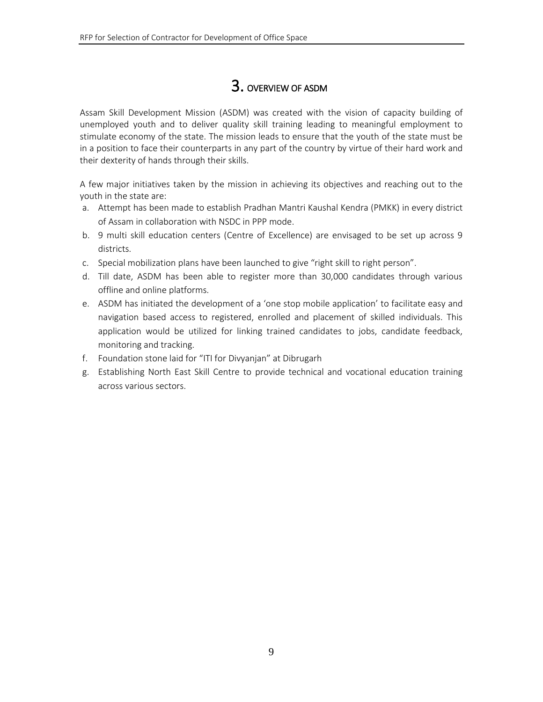# 3. OVERVIEW OF ASDM

<span id="page-8-0"></span>Assam Skill Development Mission (ASDM) was created with the vision of capacity building of unemployed youth and to deliver quality skill training leading to meaningful employment to stimulate economy of the state. The mission leads to ensure that the youth of the state must be in a position to face their counterparts in any part of the country by virtue of their hard work and their dexterity of hands through their skills.

A few major initiatives taken by the mission in achieving its objectives and reaching out to the youth in the state are:

- a. Attempt has been made to establish Pradhan Mantri Kaushal Kendra (PMKK) in every district of Assam in collaboration with NSDC in PPP mode.
- b. 9 multi skill education centers (Centre of Excellence) are envisaged to be set up across 9 districts.
- c. Special mobilization plans have been launched to give "right skill to right person".
- d. Till date, ASDM has been able to register more than 30,000 candidates through various offline and online platforms.
- e. ASDM has initiated the development of a 'one stop mobile application' to facilitate easy and navigation based access to registered, enrolled and placement of skilled individuals. This application would be utilized for linking trained candidates to jobs, candidate feedback, monitoring and tracking.
- f. Foundation stone laid for "ITI for Divyanjan" at Dibrugarh
- g. Establishing North East Skill Centre to provide technical and vocational education training across various sectors.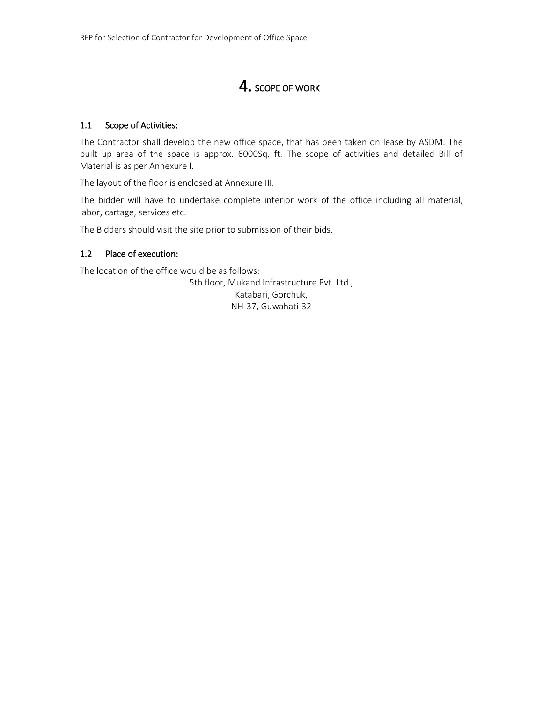# 4. SCOPE OF WORK

#### <span id="page-9-1"></span><span id="page-9-0"></span>1.1 Scope of Activities:

The Contractor shall develop the new office space, that has been taken on lease by ASDM. The built up area of the space is approx. 6000Sq. ft. The scope of activities and detailed Bill of Material is as per Annexure I.

The layout of the floor is enclosed at Annexure III.

The bidder will have to undertake complete interior work of the office including all material, labor, cartage, services etc.

<span id="page-9-2"></span>The Bidders should visit the site prior to submission of their bids.

#### 1.2 Place of execution:

The location of the office would be as follows:

5th floor, Mukand Infrastructure Pvt. Ltd., Katabari, Gorchuk, NH-37, Guwahati-32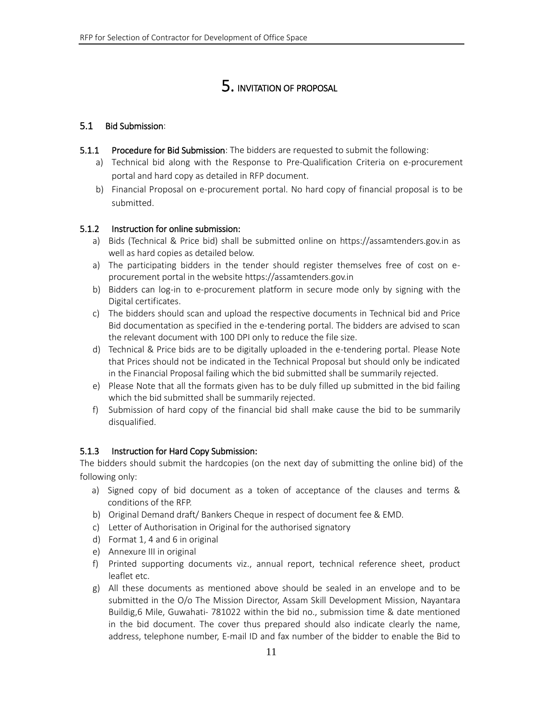# 5. INVITATION OF PROPOSAL

#### <span id="page-10-1"></span><span id="page-10-0"></span>5.1 Bid Submission:

- 5.1.1 Procedure for Bid Submission: The bidders are requested to submit the following:
	- a) Technical bid along with the Response to Pre-Qualification Criteria on e-procurement portal and hard copy as detailed in RFP document.
	- b) Financial Proposal on e-procurement portal. No hard copy of financial proposal is to be submitted.

#### 5.1.2 Instruction for online submission:

- a) Bids (Technical & Price bid) shall be submitted online on https://assamtenders.gov.in as well as hard copies as detailed below.
- a) The participating bidders in the tender should register themselves free of cost on eprocurement portal in the website https://assamtenders.gov.in
- b) Bidders can log-in to e-procurement platform in secure mode only by signing with the Digital certificates.
- c) The bidders should scan and upload the respective documents in Technical bid and Price Bid documentation as specified in the e-tendering portal. The bidders are advised to scan the relevant document with 100 DPI only to reduce the file size.
- d) Technical & Price bids are to be digitally uploaded in the e-tendering portal. Please Note that Prices should not be indicated in the Technical Proposal but should only be indicated in the Financial Proposal failing which the bid submitted shall be summarily rejected.
- e) Please Note that all the formats given has to be duly filled up submitted in the bid failing which the bid submitted shall be summarily rejected.
- f) Submission of hard copy of the financial bid shall make cause the bid to be summarily disqualified.

### 5.1.3 Instruction for Hard Copy Submission:

The bidders should submit the hardcopies (on the next day of submitting the online bid) of the following only:

- a) Signed copy of bid document as a token of acceptance of the clauses and terms & conditions of the RFP.
- b) Original Demand draft/ Bankers Cheque in respect of document fee & EMD.
- c) Letter of Authorisation in Original for the authorised signatory
- d) Format 1, 4 and 6 in original
- e) Annexure III in original
- f) Printed supporting documents viz., annual report, technical reference sheet, product leaflet etc.
- g) All these documents as mentioned above should be sealed in an envelope and to be submitted in the O/o The Mission Director, Assam Skill Development Mission, Nayantara Buildig,6 Mile, Guwahati- 781022 within the bid no., submission time & date mentioned in the bid document. The cover thus prepared should also indicate clearly the name, address, telephone number, E-mail ID and fax number of the bidder to enable the Bid to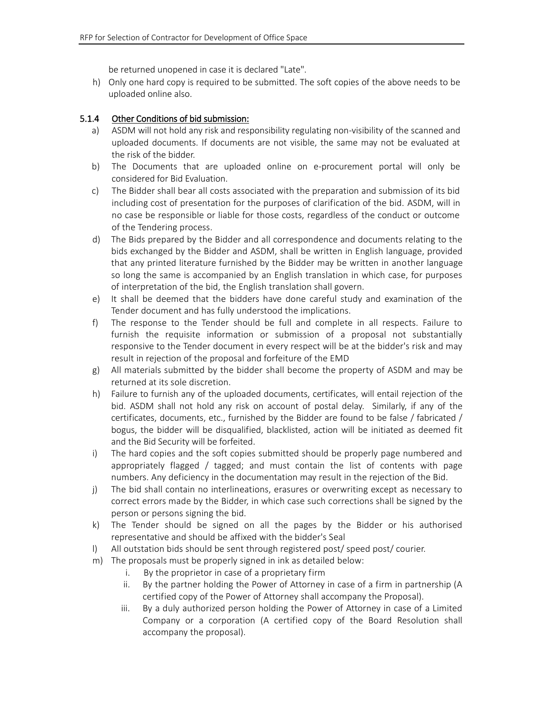be returned unopened in case it is declared "Late".

h) Only one hard copy is required to be submitted. The soft copies of the above needs to be uploaded online also.

#### 5.1.4 Other Conditions of bid submission:

- a) ASDM will not hold any risk and responsibility regulating non-visibility of the scanned and uploaded documents. If documents are not visible, the same may not be evaluated at the risk of the bidder.
- b) The Documents that are uploaded online on e-procurement portal will only be considered for Bid Evaluation.
- c) The Bidder shall bear all costs associated with the preparation and submission of its bid including cost of presentation for the purposes of clarification of the bid. ASDM, will in no case be responsible or liable for those costs, regardless of the conduct or outcome of the Tendering process.
- d) The Bids prepared by the Bidder and all correspondence and documents relating to the bids exchanged by the Bidder and ASDM, shall be written in English language, provided that any printed literature furnished by the Bidder may be written in another language so long the same is accompanied by an English translation in which case, for purposes of interpretation of the bid, the English translation shall govern.
- e) It shall be deemed that the bidders have done careful study and examination of the Tender document and has fully understood the implications.
- f) The response to the Tender should be full and complete in all respects. Failure to furnish the requisite information or submission of a proposal not substantially responsive to the Tender document in every respect will be at the bidder's risk and may result in rejection of the proposal and forfeiture of the EMD
- g) All materials submitted by the bidder shall become the property of ASDM and may be returned at its sole discretion.
- h) Failure to furnish any of the uploaded documents, certificates, will entail rejection of the bid. ASDM shall not hold any risk on account of postal delay. Similarly, if any of the certificates, documents, etc., furnished by the Bidder are found to be false / fabricated / bogus, the bidder will be disqualified, blacklisted, action will be initiated as deemed fit and the Bid Security will be forfeited.
- i) The hard copies and the soft copies submitted should be properly page numbered and appropriately flagged / tagged; and must contain the list of contents with page numbers. Any deficiency in the documentation may result in the rejection of the Bid.
- j) The bid shall contain no interlineations, erasures or overwriting except as necessary to correct errors made by the Bidder, in which case such corrections shall be signed by the person or persons signing the bid.
- k) The Tender should be signed on all the pages by the Bidder or his authorised representative and should be affixed with the bidder's Seal
- l) All outstation bids should be sent through registered post/ speed post/ courier.
- m) The proposals must be properly signed in ink as detailed below:
	- i. By the proprietor in case of a proprietary firm
	- ii. By the partner holding the Power of Attorney in case of a firm in partnership (A certified copy of the Power of Attorney shall accompany the Proposal).
	- iii. By a duly authorized person holding the Power of Attorney in case of a Limited Company or a corporation (A certified copy of the Board Resolution shall accompany the proposal).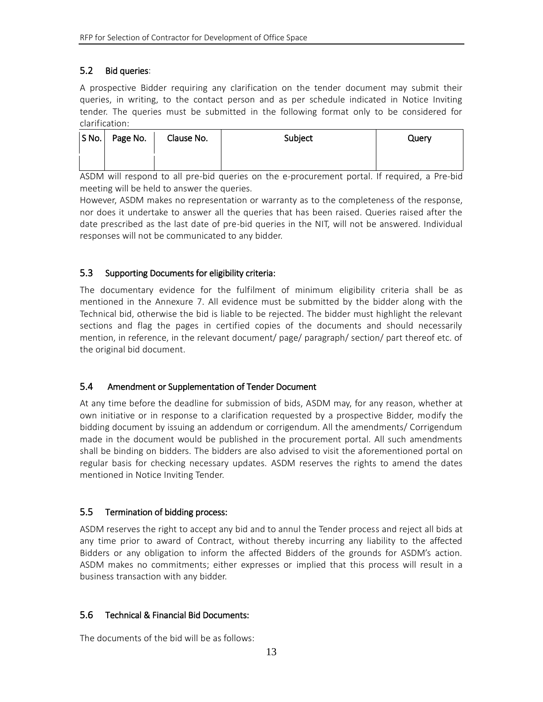## <span id="page-12-0"></span>5.2 Bid queries:

A prospective Bidder requiring any clarification on the tender document may submit their queries, in writing, to the contact person and as per schedule indicated in Notice Inviting tender. The queries must be submitted in the following format only to be considered for clarification:

| $S$ No. | Page No. | Clause No. | Subject | Query |
|---------|----------|------------|---------|-------|
|         |          |            |         |       |

ASDM will respond to all pre-bid queries on the e-procurement portal. If required, a Pre-bid meeting will be held to answer the queries.

However, ASDM makes no representation or warranty as to the completeness of the response, nor does it undertake to answer all the queries that has been raised. Queries raised after the date prescribed as the last date of pre-bid queries in the NIT, will not be answered. Individual responses will not be communicated to any bidder.

### <span id="page-12-1"></span>5.3 Supporting Documents for eligibility criteria:

The documentary evidence for the fulfilment of minimum eligibility criteria shall be as mentioned in the Annexure 7. All evidence must be submitted by the bidder along with the Technical bid, otherwise the bid is liable to be rejected. The bidder must highlight the relevant sections and flag the pages in certified copies of the documents and should necessarily mention, in reference, in the relevant document/ page/ paragraph/ section/ part thereof etc. of the original bid document.

### <span id="page-12-2"></span>5.4 Amendment or Supplementation of Tender Document

At any time before the deadline for submission of bids, ASDM may, for any reason, whether at own initiative or in response to a clarification requested by a prospective Bidder, modify the bidding document by issuing an addendum or corrigendum. All the amendments/ Corrigendum made in the document would be published in the procurement portal. All such amendments shall be binding on bidders. The bidders are also advised to visit the aforementioned portal on regular basis for checking necessary updates. ASDM reserves the rights to amend the dates mentioned in Notice Inviting Tender.

### <span id="page-12-3"></span>5.5 Termination of bidding process:

ASDM reserves the right to accept any bid and to annul the Tender process and reject all bids at any time prior to award of Contract, without thereby incurring any liability to the affected Bidders or any obligation to inform the affected Bidders of the grounds for ASDM's action. ASDM makes no commitments; either expresses or implied that this process will result in a business transaction with any bidder.

### <span id="page-12-4"></span>5.6 Technical & Financial Bid Documents:

The documents of the bid will be as follows: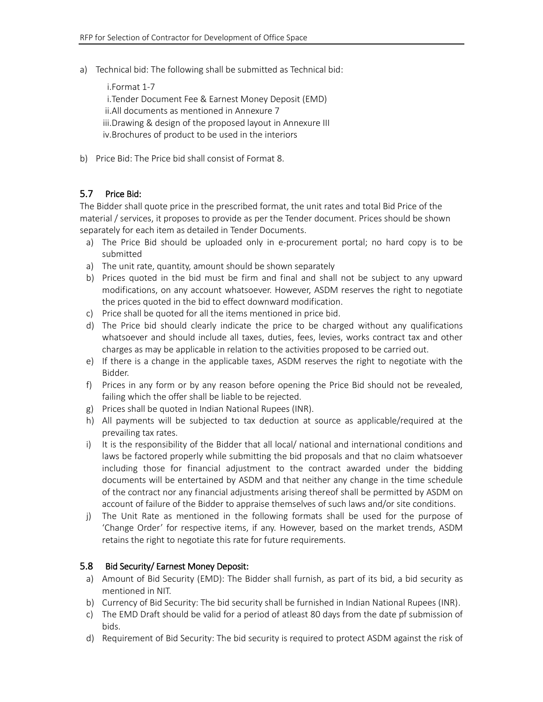a) Technical bid: The following shall be submitted as Technical bid:

i.Format 1-7 i.Tender Document Fee & Earnest Money Deposit (EMD) ii.All documents as mentioned in Annexure 7 iii.Drawing & design of the proposed layout in Annexure III iv.Brochures of product to be used in the interiors

b) Price Bid: The Price bid shall consist of Format 8.

#### <span id="page-13-0"></span>5.7 Price Bid:

The Bidder shall quote price in the prescribed format, the unit rates and total Bid Price of the material / services, it proposes to provide as per the Tender document. Prices should be shown separately for each item as detailed in Tender Documents.

- a) The Price Bid should be uploaded only in e-procurement portal; no hard copy is to be submitted
- a) The unit rate, quantity, amount should be shown separately
- b) Prices quoted in the bid must be firm and final and shall not be subject to any upward modifications, on any account whatsoever. However, ASDM reserves the right to negotiate the prices quoted in the bid to effect downward modification.
- c) Price shall be quoted for all the items mentioned in price bid.
- d) The Price bid should clearly indicate the price to be charged without any qualifications whatsoever and should include all taxes, duties, fees, levies, works contract tax and other charges as may be applicable in relation to the activities proposed to be carried out.
- e) If there is a change in the applicable taxes, ASDM reserves the right to negotiate with the Bidder.
- f) Prices in any form or by any reason before opening the Price Bid should not be revealed, failing which the offer shall be liable to be rejected.
- g) Prices shall be quoted in Indian National Rupees (INR).
- h) All payments will be subjected to tax deduction at source as applicable/required at the prevailing tax rates.
- i) It is the responsibility of the Bidder that all local/ national and international conditions and laws be factored properly while submitting the bid proposals and that no claim whatsoever including those for financial adjustment to the contract awarded under the bidding documents will be entertained by ASDM and that neither any change in the time schedule of the contract nor any financial adjustments arising thereof shall be permitted by ASDM on account of failure of the Bidder to appraise themselves of such laws and/or site conditions.
- j) The Unit Rate as mentioned in the following formats shall be used for the purpose of 'Change Order' for respective items, if any. However, based on the market trends, ASDM retains the right to negotiate this rate for future requirements.

#### <span id="page-13-1"></span>5.8 Bid Security/ Earnest Money Deposit:

- a) Amount of Bid Security (EMD): The Bidder shall furnish, as part of its bid, a bid security as mentioned in NIT.
- b) Currency of Bid Security: The bid security shall be furnished in Indian National Rupees (INR).
- c) The EMD Draft should be valid for a period of atleast 80 days from the date pf submission of bids.
- d) Requirement of Bid Security: The bid security is required to protect ASDM against the risk of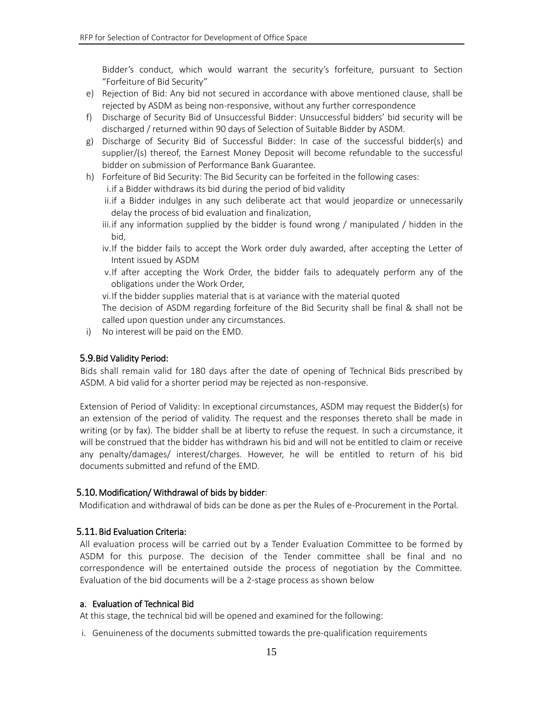Bidder's conduct, which would warrant the security's forfeiture, pursuant to Section "Forfeiture of Bid Security"

- e) Rejection of Bid: Any bid not secured in accordance with above mentioned clause, shall be rejected by ASDM as being non-responsive, without any further correspondence
- f) Discharge of Security Bid of Unsuccessful Bidder: Unsuccessful bidders' bid security will be discharged / returned within 90 days of Selection of Suitable Bidder by ASDM.
- g) Discharge of Security Bid of Successful Bidder: In case of the successful bidder(s) and supplier/(s) thereof, the Earnest Money Deposit will become refundable to the successful bidder on submission of Performance Bank Guarantee.
- h) Forfeiture of Bid Security: The Bid Security can be forfeited in the following cases:
	- i.if a Bidder withdraws its bid during the period of bid validity
	- ii.if a Bidder indulges in any such deliberate act that would jeopardize or unnecessarily delay the process of bid evaluation and finalization,
	- iii. if any information supplied by the bidder is found wrong  $/$  manipulated  $/$  hidden in the bid,
	- iv.If the bidder fails to accept the Work order duly awarded, after accepting the Letter of Intent issued by ASDM
	- v.If after accepting the Work Order, the bidder fails to adequately perform any of the obligations under the Work Order,
	- vi.If the bidder supplies material that is at variance with the material quoted
	- The decision of ASDM regarding forfeiture of the Bid Security shall be final & shall not be called upon question under any circumstances.
- i) No interest will be paid on the EMD.

#### <span id="page-14-0"></span>5.9.Bid Validity Period:

Bids shall remain valid for 180 days after the date of opening of Technical Bids prescribed by ASDM. A bid valid for a shorter period may be rejected as non-responsive.

Extension of Period of Validity: In exceptional circumstances, ASDM may request the Bidder(s) for an extension of the period of validity. The request and the responses thereto shall be made in writing (or by fax). The bidder shall be at liberty to refuse the request. In such a circumstance, it will be construed that the bidder has withdrawn his bid and will not be entitled to claim or receive any penalty/damages/ interest/charges. However, he will be entitled to return of his bid documents submitted and refund of the EMD.

#### <span id="page-14-1"></span>5.10.Modification/ Withdrawal of bids by bidder:

Modification and withdrawal of bids can be done as per the Rules of e-Procurement in the Portal.

#### <span id="page-14-2"></span>5.11.Bid Evaluation Criteria:

All evaluation process will be carried out by a Tender Evaluation Committee to be formed by ASDM for this purpose. The decision of the Tender committee shall be final and no correspondence will be entertained outside the process of negotiation by the Committee. Evaluation of the bid documents will be a 2-stage process as shown below

#### a. Evaluation of Technical Bid

At this stage, the technical bid will be opened and examined for the following:

i. Genuineness of the documents submitted towards the pre-qualification requirements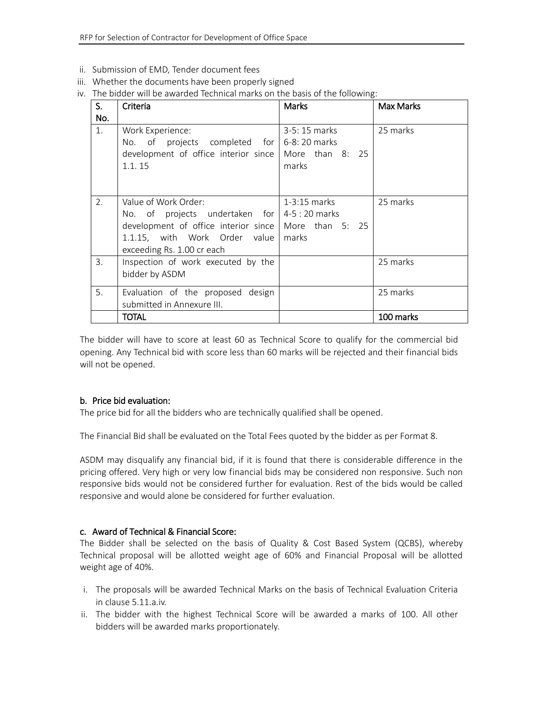- ii. Submission of EMD, Tender document fees
- iii. Whether the documents have been properly signed
- iv. The bidder will be awarded Technical marks on the basis of the following:

| S.  | Criteria                                                         | Marks                    | <b>Max Marks</b> |
|-----|------------------------------------------------------------------|--------------------------|------------------|
| No. |                                                                  |                          |                  |
| 1.  | Work Experience:<br>No. of projects completed for $6-8:20$ marks | $3-5:15$ marks           | 25 marks         |
|     | development of office interior since<br>1.1.15                   | More than 8: 25<br>marks |                  |
|     |                                                                  |                          |                  |
| 2.  | Value of Work Order:                                             | $1-3:15$ marks           | 25 marks         |
|     | No. of projects undertaken for $4-5:20$ marks                    |                          |                  |
|     | development of office interior since   More than 5: 25           |                          |                  |
|     | 1.1.15, with Work Order value                                    | marks                    |                  |
|     | exceeding Rs. 1.00 cr each                                       |                          |                  |
| 3.  | Inspection of work executed by the                               |                          | 25 marks         |
|     | bidder by ASDM                                                   |                          |                  |
| 5.  | Evaluation of the proposed design                                |                          | 25 marks         |
|     | submitted in Annexure III.                                       |                          |                  |
|     | TOTAL                                                            |                          | 100 marks        |

The bidder will have to score at least 60 as Technical Score to qualify for the commercial bid opening. Any Technical bid with score less than 60 marks will be rejected and their financial bids will not be opened.

#### b. Price bid evaluation:

The price bid for all the bidders who are technically qualified shall be opened.

The Financial Bid shall be evaluated on the Total Fees quoted by the bidder as per Format 8.

ASDM may disqualify any financial bid, if it is found that there is considerable difference in the pricing offered. Very high or very low financial bids may be considered non responsive. Such non responsive bids would not be considered further for evaluation. Rest of the bids would be called responsive and would alone be considered for further evaluation.

#### c. Award of Technical & Financial Score:

The Bidder shall be selected on the basis of Quality & Cost Based System (QCBS), whereby Technical proposal will be allotted weight age of 60% and Financial Proposal will be allotted weight age of 40%.

- i. The proposals will be awarded Technical Marks on the basis of Technical Evaluation Criteria in clause 5.11.a.iv.
- ii. The bidder with the highest Technical Score will be awarded a marks of 100. All other bidders will be awarded marks proportionately.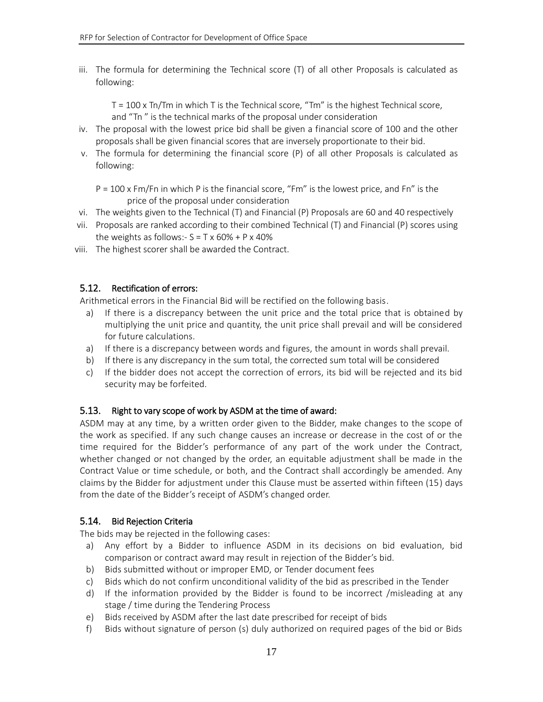iii. The formula for determining the Technical score (T) of all other Proposals is calculated as following:

 $T = 100 \times Tn$  Tm in which T is the Technical score, "Tm" is the highest Technical score, and "Tn " is the technical marks of the proposal under consideration

- iv. The proposal with the lowest price bid shall be given a financial score of 100 and the other proposals shall be given financial scores that are inversely proportionate to their bid.
- v. The formula for determining the financial score (P) of all other Proposals is calculated as following:

 $P = 100 \times Fm/Fn$  in which P is the financial score, "Fm" is the lowest price, and Fn" is the price of the proposal under consideration

- vi. The weights given to the Technical (T) and Financial (P) Proposals are 60 and 40 respectively
- vii. Proposals are ranked according to their combined Technical (T) and Financial (P) scores using the weights as follows:-  $S = T \times 60\% + P \times 40\%$
- viii. The highest scorer shall be awarded the Contract.

### <span id="page-16-0"></span>5.12. Rectification of errors:

Arithmetical errors in the Financial Bid will be rectified on the following basis.

- a) If there is a discrepancy between the unit price and the total price that is obtained by multiplying the unit price and quantity, the unit price shall prevail and will be considered for future calculations.
- a) If there is a discrepancy between words and figures, the amount in words shall prevail.
- b) If there is any discrepancy in the sum total, the corrected sum total will be considered
- c) If the bidder does not accept the correction of errors, its bid will be rejected and its bid security may be forfeited.

### <span id="page-16-1"></span>5.13. Right to vary scope of work by ASDM at the time of award:

ASDM may at any time, by a written order given to the Bidder, make changes to the scope of the work as specified. If any such change causes an increase or decrease in the cost of or the time required for the Bidder's performance of any part of the work under the Contract, whether changed or not changed by the order, an equitable adjustment shall be made in the Contract Value or time schedule, or both, and the Contract shall accordingly be amended. Any claims by the Bidder for adjustment under this Clause must be asserted within fifteen (15) days from the date of the Bidder's receipt of ASDM's changed order.

### <span id="page-16-2"></span>5.14. Bid Rejection Criteria

The bids may be rejected in the following cases:

- a) Any effort by a Bidder to influence ASDM in its decisions on bid evaluation, bid comparison or contract award may result in rejection of the Bidder's bid.
- b) Bids submitted without or improper EMD, or Tender document fees
- c) Bids which do not confirm unconditional validity of the bid as prescribed in the Tender
- d) If the information provided by the Bidder is found to be incorrect /misleading at any stage / time during the Tendering Process
- e) Bids received by ASDM after the last date prescribed for receipt of bids
- f) Bids without signature of person (s) duly authorized on required pages of the bid or Bids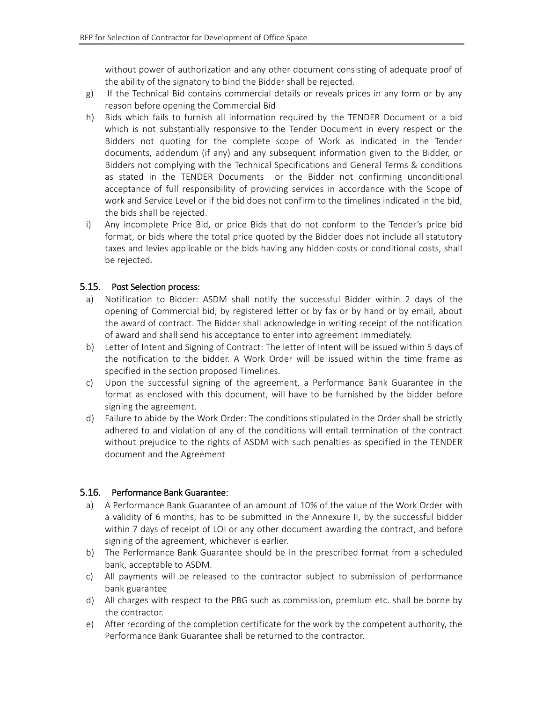without power of authorization and any other document consisting of adequate proof of the ability of the signatory to bind the Bidder shall be rejected.

- g) If the Technical Bid contains commercial details or reveals prices in any form or by any reason before opening the Commercial Bid
- h) Bids which fails to furnish all information required by the TENDER Document or a bid which is not substantially responsive to the Tender Document in every respect or the Bidders not quoting for the complete scope of Work as indicated in the Tender documents, addendum (if any) and any subsequent information given to the Bidder, or Bidders not complying with the Technical Specifications and General Terms & conditions as stated in the TENDER Documents or the Bidder not confirming unconditional acceptance of full responsibility of providing services in accordance with the Scope of work and Service Level or if the bid does not confirm to the timelines indicated in the bid, the bids shall be rejected.
- i) Any incomplete Price Bid, or price Bids that do not conform to the Tender's price bid format, or bids where the total price quoted by the Bidder does not include all statutory taxes and levies applicable or the bids having any hidden costs or conditional costs, shall be rejected.

#### <span id="page-17-0"></span>5.15. Post Selection process:

- a) Notification to Bidder: ASDM shall notify the successful Bidder within 2 days of the opening of Commercial bid, by registered letter or by fax or by hand or by email, about the award of contract. The Bidder shall acknowledge in writing receipt of the notification of award and shall send his acceptance to enter into agreement immediately.
- b) Letter of Intent and Signing of Contract: The letter of Intent will be issued within 5 days of the notification to the bidder. A Work Order will be issued within the time frame as specified in the section proposed Timelines.
- c) Upon the successful signing of the agreement, a Performance Bank Guarantee in the format as enclosed with this document, will have to be furnished by the bidder before signing the agreement.
- d) Failure to abide by the Work Order: The conditions stipulated in the Order shall be strictly adhered to and violation of any of the conditions will entail termination of the contract without prejudice to the rights of ASDM with such penalties as specified in the TENDER document and the Agreement

#### <span id="page-17-1"></span>5.16. Performance Bank Guarantee:

- a) A Performance Bank Guarantee of an amount of 10% of the value of the Work Order with a validity of 6 months, has to be submitted in the Annexure II, by the successful bidder within 7 days of receipt of LOI or any other document awarding the contract, and before signing of the agreement, whichever is earlier.
- b) The Performance Bank Guarantee should be in the prescribed format from a scheduled bank, acceptable to ASDM.
- c) All payments will be released to the contractor subject to submission of performance bank guarantee
- d) All charges with respect to the PBG such as commission, premium etc. shall be borne by the contractor.
- e) After recording of the completion certificate for the work by the competent authority, the Performance Bank Guarantee shall be returned to the contractor.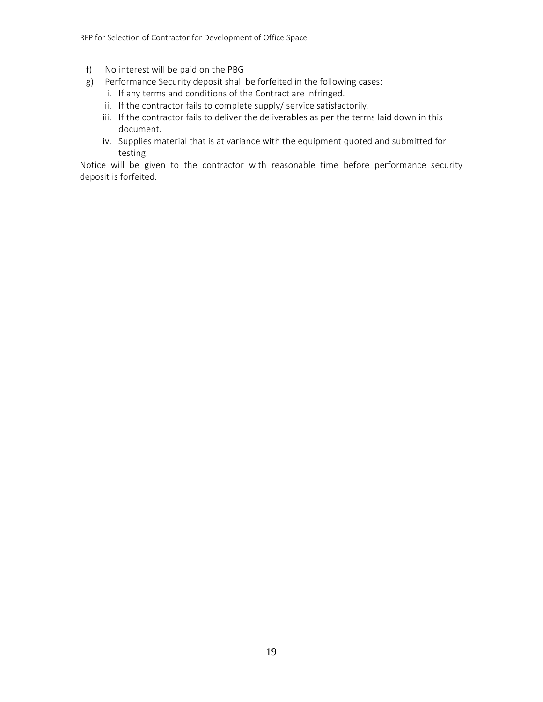- f) No interest will be paid on the PBG
- g) Performance Security deposit shall be forfeited in the following cases:
	- i. If any terms and conditions of the Contract are infringed.
	- ii. If the contractor fails to complete supply/ service satisfactorily.
	- iii. If the contractor fails to deliver the deliverables as per the terms laid down in this document.
	- iv. Supplies material that is at variance with the equipment quoted and submitted for testing.

Notice will be given to the contractor with reasonable time before performance security deposit is forfeited.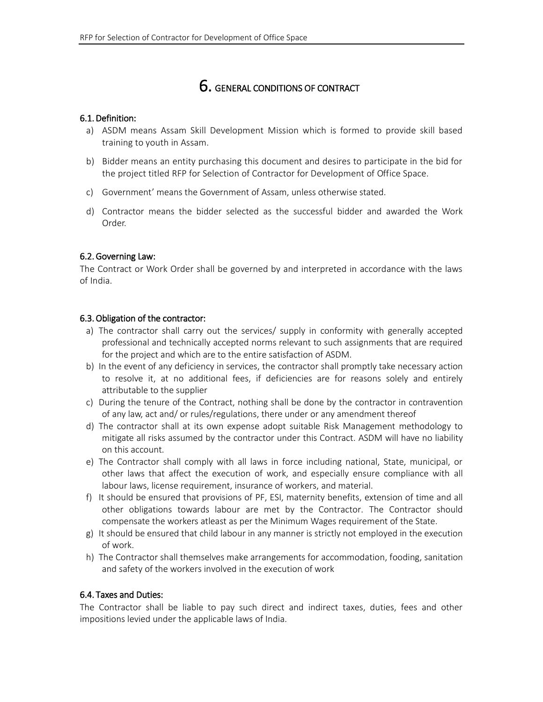# 6. GENERAL CONDITIONS OF CONTRACT

#### <span id="page-19-1"></span><span id="page-19-0"></span>6.1.Definition:

- a) ASDM means Assam Skill Development Mission which is formed to provide skill based training to youth in Assam.
- b) Bidder means an entity purchasing this document and desires to participate in the bid for the project titled RFP for Selection of Contractor for Development of Office Space.
- c) Government' means the Government of Assam, unless otherwise stated.
- d) Contractor means the bidder selected as the successful bidder and awarded the Work Order.

#### <span id="page-19-2"></span>6.2.Governing Law:

The Contract or Work Order shall be governed by and interpreted in accordance with the laws of India.

#### <span id="page-19-3"></span>6.3.Obligation of the contractor:

- a) The contractor shall carry out the services/ supply in conformity with generally accepted professional and technically accepted norms relevant to such assignments that are required for the project and which are to the entire satisfaction of ASDM.
- b) In the event of any deficiency in services, the contractor shall promptly take necessary action to resolve it, at no additional fees, if deficiencies are for reasons solely and entirely attributable to the supplier
- c) During the tenure of the Contract, nothing shall be done by the contractor in contravention of any law, act and/ or rules/regulations, there under or any amendment thereof
- d) The contractor shall at its own expense adopt suitable Risk Management methodology to mitigate all risks assumed by the contractor under this Contract. ASDM will have no liability on this account.
- e) The Contractor shall comply with all laws in force including national, State, municipal, or other laws that affect the execution of work, and especially ensure compliance with all labour laws, license requirement, insurance of workers, and material.
- f) It should be ensured that provisions of PF, ESI, maternity benefits, extension of time and all other obligations towards labour are met by the Contractor. The Contractor should compensate the workers atleast as per the Minimum Wages requirement of the State.
- g) It should be ensured that child labour in any manner is strictly not employed in the execution of work.
- h) The Contractor shall themselves make arrangements for accommodation, fooding, sanitation and safety of the workers involved in the execution of work

#### <span id="page-19-4"></span>6.4. Taxes and Duties:

The Contractor shall be liable to pay such direct and indirect taxes, duties, fees and other impositions levied under the applicable laws of India.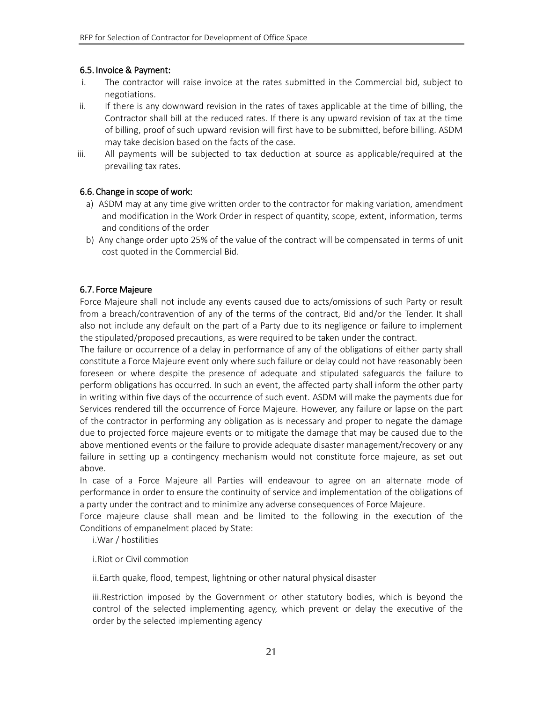#### <span id="page-20-0"></span>6.5. Invoice & Payment:

- i. The contractor will raise invoice at the rates submitted in the Commercial bid, subject to negotiations.
- ii. If there is any downward revision in the rates of taxes applicable at the time of billing, the Contractor shall bill at the reduced rates. If there is any upward revision of tax at the time of billing, proof of such upward revision will first have to be submitted, before billing. ASDM may take decision based on the facts of the case.
- iii. All payments will be subjected to tax deduction at source as applicable/required at the prevailing tax rates.

#### <span id="page-20-1"></span>6.6. Change in scope of work:

- a) ASDM may at any time give written order to the contractor for making variation, amendment and modification in the Work Order in respect of quantity, scope, extent, information, terms and conditions of the order
- b) Any change order upto 25% of the value of the contract will be compensated in terms of unit cost quoted in the Commercial Bid.

#### <span id="page-20-2"></span>6.7. Force Majeure

Force Majeure shall not include any events caused due to acts/omissions of such Party or result from a breach/contravention of any of the terms of the contract, Bid and/or the Tender. It shall also not include any default on the part of a Party due to its negligence or failure to implement the stipulated/proposed precautions, as were required to be taken under the contract.

The failure or occurrence of a delay in performance of any of the obligations of either party shall constitute a Force Majeure event only where such failure or delay could not have reasonably been foreseen or where despite the presence of adequate and stipulated safeguards the failure to perform obligations has occurred. In such an event, the affected party shall inform the other party in writing within five days of the occurrence of such event. ASDM will make the payments due for Services rendered till the occurrence of Force Majeure. However, any failure or lapse on the part of the contractor in performing any obligation as is necessary and proper to negate the damage due to projected force majeure events or to mitigate the damage that may be caused due to the above mentioned events or the failure to provide adequate disaster management/recovery or any failure in setting up a contingency mechanism would not constitute force majeure, as set out above.

In case of a Force Majeure all Parties will endeavour to agree on an alternate mode of performance in order to ensure the continuity of service and implementation of the obligations of a party under the contract and to minimize any adverse consequences of Force Majeure.

Force majeure clause shall mean and be limited to the following in the execution of the Conditions of empanelment placed by State:

i.War / hostilities

i.Riot or Civil commotion

ii.Earth quake, flood, tempest, lightning or other natural physical disaster

iii.Restriction imposed by the Government or other statutory bodies, which is beyond the control of the selected implementing agency, which prevent or delay the executive of the order by the selected implementing agency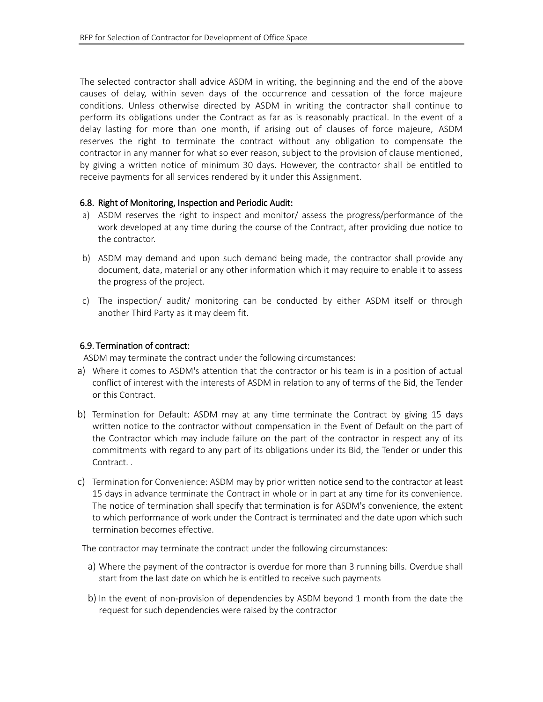The selected contractor shall advice ASDM in writing, the beginning and the end of the above causes of delay, within seven days of the occurrence and cessation of the force majeure conditions. Unless otherwise directed by ASDM in writing the contractor shall continue to perform its obligations under the Contract as far as is reasonably practical. In the event of a delay lasting for more than one month, if arising out of clauses of force majeure, ASDM reserves the right to terminate the contract without any obligation to compensate the contractor in any manner for what so ever reason, subject to the provision of clause mentioned, by giving a written notice of minimum 30 days. However, the contractor shall be entitled to receive payments for all services rendered by it under this Assignment.

#### <span id="page-21-0"></span>6.8. Right of Monitoring, Inspection and Periodic Audit:

- a) ASDM reserves the right to inspect and monitor/ assess the progress/performance of the work developed at any time during the course of the Contract, after providing due notice to the contractor.
- b) ASDM may demand and upon such demand being made, the contractor shall provide any document, data, material or any other information which it may require to enable it to assess the progress of the project.
- c) The inspection/ audit/ monitoring can be conducted by either ASDM itself or through another Third Party as it may deem fit.

#### <span id="page-21-1"></span>6.9. Termination of contract:

ASDM may terminate the contract under the following circumstances:

- a) Where it comes to ASDM's attention that the contractor or his team is in a position of actual conflict of interest with the interests of ASDM in relation to any of terms of the Bid, the Tender or this Contract.
- b) Termination for Default: ASDM may at any time terminate the Contract by giving 15 days written notice to the contractor without compensation in the Event of Default on the part of the Contractor which may include failure on the part of the contractor in respect any of its commitments with regard to any part of its obligations under its Bid, the Tender or under this Contract. .
- c) Termination for Convenience: ASDM may by prior written notice send to the contractor at least 15 days in advance terminate the Contract in whole or in part at any time for its convenience. The notice of termination shall specify that termination is for ASDM's convenience, the extent to which performance of work under the Contract is terminated and the date upon which such termination becomes effective.

The contractor may terminate the contract under the following circumstances:

- a) Where the payment of the contractor is overdue for more than 3 running bills. Overdue shall start from the last date on which he is entitled to receive such payments
- b) In the event of non-provision of dependencies by ASDM beyond 1 month from the date the request for such dependencies were raised by the contractor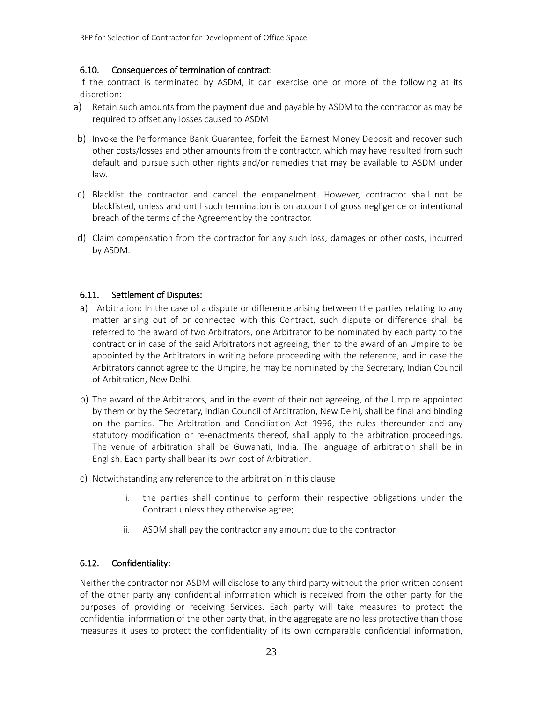#### <span id="page-22-0"></span>6.10. Consequences of termination of contract:

If the contract is terminated by ASDM, it can exercise one or more of the following at its discretion:

- a) Retain such amounts from the payment due and payable by ASDM to the contractor as may be required to offset any losses caused to ASDM
- b) Invoke the Performance Bank Guarantee, forfeit the Earnest Money Deposit and recover such other costs/losses and other amounts from the contractor, which may have resulted from such default and pursue such other rights and/or remedies that may be available to ASDM under law.
- c) Blacklist the contractor and cancel the empanelment. However, contractor shall not be blacklisted, unless and until such termination is on account of gross negligence or intentional breach of the terms of the Agreement by the contractor.
- d) Claim compensation from the contractor for any such loss, damages or other costs, incurred by ASDM.

#### <span id="page-22-1"></span>6.11. Settlement of Disputes:

- a) Arbitration: In the case of a dispute or difference arising between the parties relating to any matter arising out of or connected with this Contract, such dispute or difference shall be referred to the award of two Arbitrators, one Arbitrator to be nominated by each party to the contract or in case of the said Arbitrators not agreeing, then to the award of an Umpire to be appointed by the Arbitrators in writing before proceeding with the reference, and in case the Arbitrators cannot agree to the Umpire, he may be nominated by the Secretary, Indian Council of Arbitration, New Delhi.
- b) The award of the Arbitrators, and in the event of their not agreeing, of the Umpire appointed by them or by the Secretary, Indian Council of Arbitration, New Delhi, shall be final and binding on the parties. The Arbitration and Conciliation Act 1996, the rules thereunder and any statutory modification or re-enactments thereof, shall apply to the arbitration proceedings. The venue of arbitration shall be Guwahati, India. The language of arbitration shall be in English. Each party shall bear its own cost of Arbitration.
- c) Notwithstanding any reference to the arbitration in this clause
	- i. the parties shall continue to perform their respective obligations under the Contract unless they otherwise agree;
	- ii. ASDM shall pay the contractor any amount due to the contractor.

#### 6.12. Confidentiality:

Neither the contractor nor ASDM will disclose to any third party without the prior written consent of the other party any confidential information which is received from the other party for the purposes of providing or receiving Services. Each party will take measures to protect the confidential information of the other party that, in the aggregate are no less protective than those measures it uses to protect the confidentiality of its own comparable confidential information,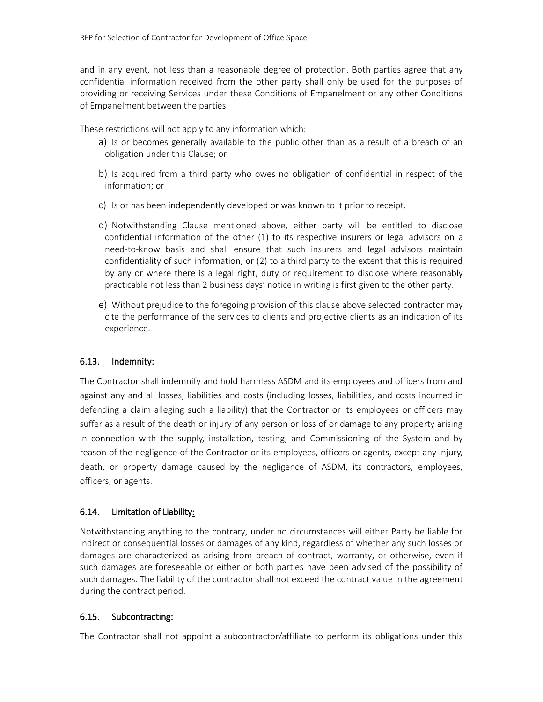and in any event, not less than a reasonable degree of protection. Both parties agree that any confidential information received from the other party shall only be used for the purposes of providing or receiving Services under these Conditions of Empanelment or any other Conditions of Empanelment between the parties.

These restrictions will not apply to any information which:

- a) Is or becomes generally available to the public other than as a result of a breach of an obligation under this Clause; or
- b) Is acquired from a third party who owes no obligation of confidential in respect of the information; or
- c) Is or has been independently developed or was known to it prior to receipt.
- d) Notwithstanding Clause mentioned above, either party will be entitled to disclose confidential information of the other (1) to its respective insurers or legal advisors on a need-to-know basis and shall ensure that such insurers and legal advisors maintain confidentiality of such information, or (2) to a third party to the extent that this is required by any or where there is a legal right, duty or requirement to disclose where reasonably practicable not less than 2 business days' notice in writing is first given to the other party.
- e) Without prejudice to the foregoing provision of this clause above selected contractor may cite the performance of the services to clients and projective clients as an indication of its experience.

### 6.13. Indemnity:

The Contractor shall indemnify and hold harmless ASDM and its employees and officers from and against any and all losses, liabilities and costs (including losses, liabilities, and costs incurred in defending a claim alleging such a liability) that the Contractor or its employees or officers may suffer as a result of the death or injury of any person or loss of or damage to any property arising in connection with the supply, installation, testing, and Commissioning of the System and by reason of the negligence of the Contractor or its employees, officers or agents, except any injury, death, or property damage caused by the negligence of ASDM, its contractors, employees, officers, or agents.

### 6.14. Limitation of Liability:

Notwithstanding anything to the contrary, under no circumstances will either Party be liable for indirect or consequential losses or damages of any kind, regardless of whether any such losses or damages are characterized as arising from breach of contract, warranty, or otherwise, even if such damages are foreseeable or either or both parties have been advised of the possibility of such damages. The liability of the contractor shall not exceed the contract value in the agreement during the contract period.

#### 6.15. Subcontracting:

The Contractor shall not appoint a subcontractor/affiliate to perform its obligations under this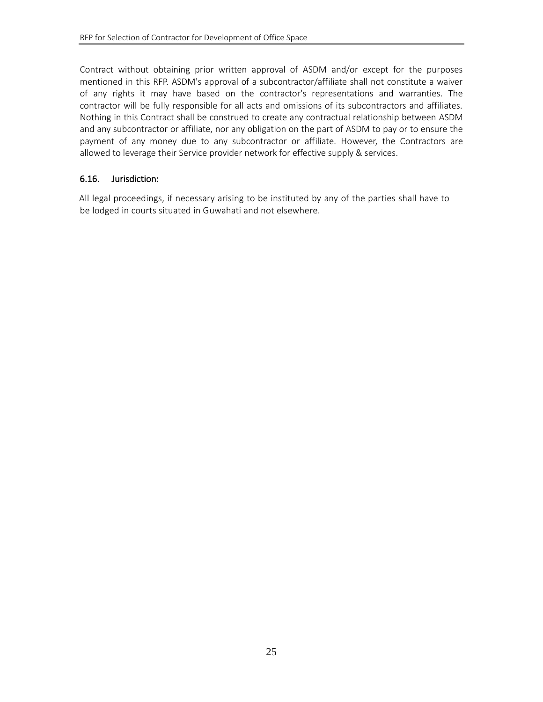Contract without obtaining prior written approval of ASDM and/or except for the purposes mentioned in this RFP. ASDM's approval of a subcontractor/affiliate shall not constitute a waiver of any rights it may have based on the contractor's representations and warranties. The contractor will be fully responsible for all acts and omissions of its subcontractors and affiliates. Nothing in this Contract shall be construed to create any contractual relationship between ASDM and any subcontractor or affiliate, nor any obligation on the part of ASDM to pay or to ensure the payment of any money due to any subcontractor or affiliate. However, the Contractors are allowed to leverage their Service provider network for effective supply & services.

#### 6.16. Jurisdiction:

All legal proceedings, if necessary arising to be instituted by any of the parties shall have to be lodged in courts situated in Guwahati and not elsewhere.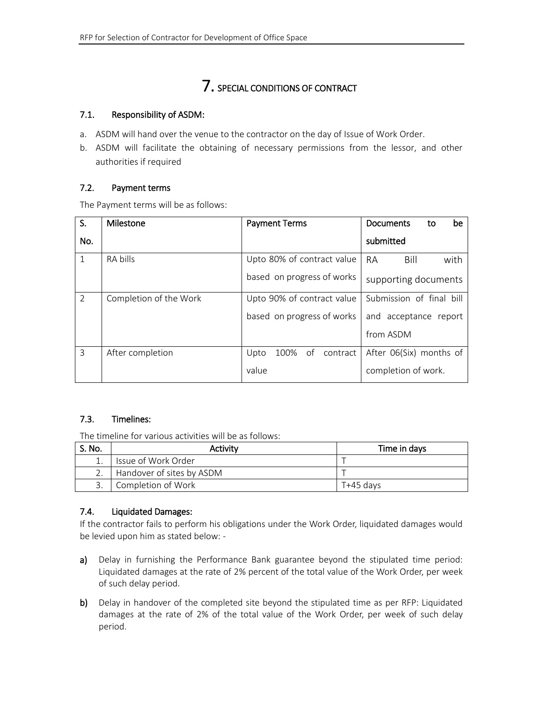# 7. SPECIAL CONDITIONS OF CONTRACT

#### <span id="page-25-0"></span>7.1. Responsibility of ASDM:

- a. ASDM will hand over the venue to the contractor on the day of Issue of Work Order.
- b. ASDM will facilitate the obtaining of necessary permissions from the lessor, and other authorities if required

#### <span id="page-25-1"></span>7.2. Payment terms

The Payment terms will be as follows:

| S.           | Milestone              | <b>Payment Terms</b>        | Documents<br>be<br>to     |
|--------------|------------------------|-----------------------------|---------------------------|
| No.          |                        |                             | submitted                 |
| $\mathbf{1}$ | RA bills               | Upto 80% of contract value  | <b>RA</b><br>Bill<br>with |
|              |                        | based on progress of works  | supporting documents      |
| 2            | Completion of the Work | Upto 90% of contract value  | Submission of final bill  |
|              |                        | based on progress of works  | and acceptance report     |
|              |                        |                             | from ASDM                 |
| 3            | After completion       | Upto<br>contract<br>100% of | After 06(Six) months of   |
|              |                        | value                       | completion of work.       |

### <span id="page-25-2"></span>7.3. Timelines:

The timeline for various activities will be as follows:

| S. No. | Activitv                  | Time in days |
|--------|---------------------------|--------------|
|        | Issue of Work Order       |              |
|        | Handover of sites by ASDM |              |
|        | Completion of Work        | T+45 davs    |

### <span id="page-25-3"></span>7.4. Liquidated Damages:

If the contractor fails to perform his obligations under the Work Order, liquidated damages would be levied upon him as stated below: -

- a) Delay in furnishing the Performance Bank guarantee beyond the stipulated time period: Liquidated damages at the rate of 2% percent of the total value of the Work Order, per week of such delay period.
- b) Delay in handover of the completed site beyond the stipulated time as per RFP: Liquidated damages at the rate of 2% of the total value of the Work Order, per week of such delay period.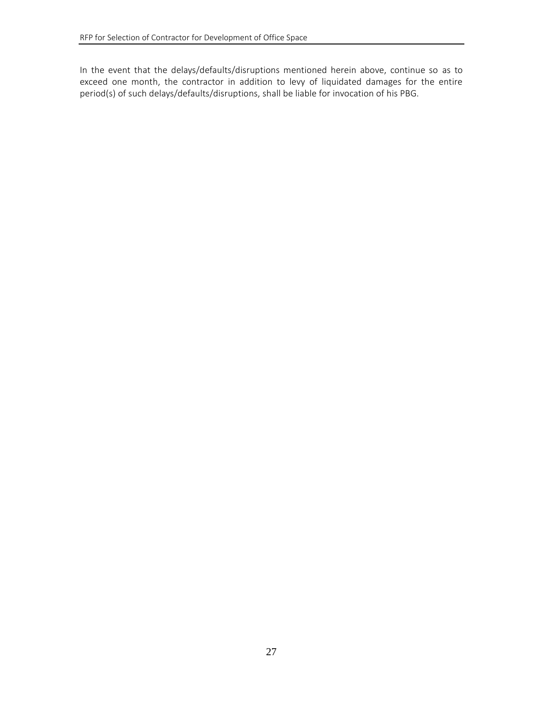In the event that the delays/defaults/disruptions mentioned herein above, continue so as to exceed one month, the contractor in addition to levy of liquidated damages for the entire period(s) of such delays/defaults/disruptions, shall be liable for invocation of his PBG.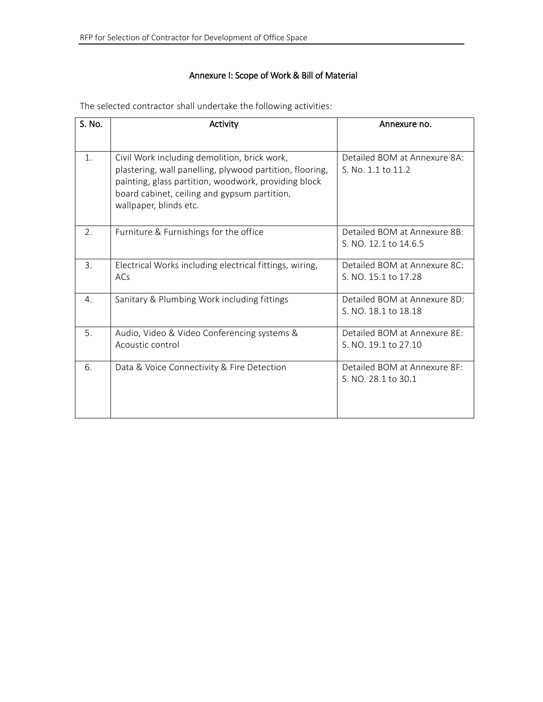# Annexure I: Scope of Work & Bill of Material

| S. No. | Activity                                                                                                                                                                                                                                   | Annexure no.                                          |
|--------|--------------------------------------------------------------------------------------------------------------------------------------------------------------------------------------------------------------------------------------------|-------------------------------------------------------|
| 1.     | Civil Work including demolition, brick work,<br>plastering, wall panelling, plywood partition, flooring,<br>painting, glass partition, woodwork, providing block<br>board cabinet, ceiling and gypsum partition,<br>wallpaper, blinds etc. | Detailed BOM at Annexure 8A:<br>S. No. 1.1 to 11.2    |
| 2.     | Furniture & Furnishings for the office                                                                                                                                                                                                     | Detailed BOM at Annexure 8B:<br>S. NO. 12.1 to 14.6.5 |
| 3.     | Electrical Works including electrical fittings, wiring,<br>ACs                                                                                                                                                                             | Detailed BOM at Annexure 8C:<br>S. NO. 15.1 to 17.28  |
| 4.     | Sanitary & Plumbing Work including fittings                                                                                                                                                                                                | Detailed BOM at Annexure 8D:<br>S. NO. 18.1 to 18.18  |
| 5.     | Audio, Video & Video Conferencing systems &<br>Acoustic control                                                                                                                                                                            | Detailed BOM at Annexure 8E:<br>S. NO. 19.1 to 27.10  |
| 6.     | Data & Voice Connectivity & Fire Detection                                                                                                                                                                                                 | Detailed BOM at Annexure 8F:<br>S. NO. 28.1 to 30.1   |

<span id="page-27-0"></span>The selected contractor shall undertake the following activities: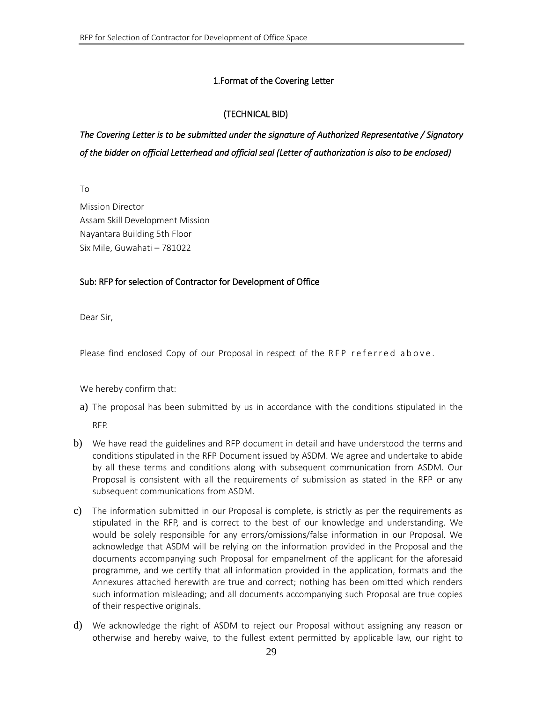### 1.Format of the Covering Letter

## (TECHNICAL BID)

# <span id="page-28-0"></span>*The Covering Letter is to be submitted under the signature of Authorized Representative / Signatory of the bidder on official Letterhead and official seal (Letter of authorization is also to be enclosed)*

To

Mission Director Assam Skill Development Mission Nayantara Building 5th Floor Six Mile, Guwahati – 781022

#### Sub: RFP for selection of Contractor for Development of Office

Dear Sir,

Please find enclosed Copy of our Proposal in respect of the RFP referred above.

We hereby confirm that:

- a) The proposal has been submitted by us in accordance with the conditions stipulated in the RFP.
- b) We have read the guidelines and RFP document in detail and have understood the terms and conditions stipulated in the RFP Document issued by ASDM. We agree and undertake to abide by all these terms and conditions along with subsequent communication from ASDM. Our Proposal is consistent with all the requirements of submission as stated in the RFP or any subsequent communications from ASDM.
- c) The information submitted in our Proposal is complete, is strictly as per the requirements as stipulated in the RFP, and is correct to the best of our knowledge and understanding. We would be solely responsible for any errors/omissions/false information in our Proposal. We acknowledge that ASDM will be relying on the information provided in the Proposal and the documents accompanying such Proposal for empanelment of the applicant for the aforesaid programme, and we certify that all information provided in the application, formats and the Annexures attached herewith are true and correct; nothing has been omitted which renders such information misleading; and all documents accompanying such Proposal are true copies of their respective originals.
- d) We acknowledge the right of ASDM to reject our Proposal without assigning any reason or otherwise and hereby waive, to the fullest extent permitted by applicable law, our right to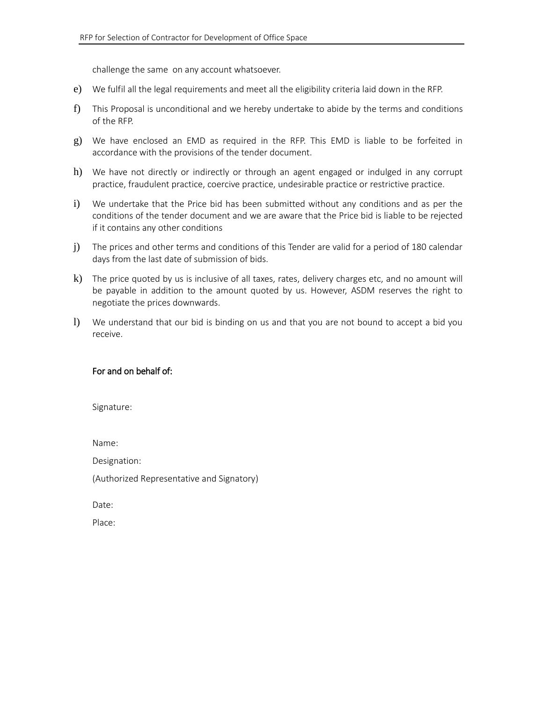challenge the same on any account whatsoever.

- e) We fulfil all the legal requirements and meet all the eligibility criteria laid down in the RFP.
- f) This Proposal is unconditional and we hereby undertake to abide by the terms and conditions of the RFP.
- g) We have enclosed an EMD as required in the RFP. This EMD is liable to be forfeited in accordance with the provisions of the tender document.
- h) We have not directly or indirectly or through an agent engaged or indulged in any corrupt practice, fraudulent practice, coercive practice, undesirable practice or restrictive practice.
- i) We undertake that the Price bid has been submitted without any conditions and as per the conditions of the tender document and we are aware that the Price bid is liable to be rejected if it contains any other conditions
- j) The prices and other terms and conditions of this Tender are valid for a period of 180 calendar days from the last date of submission of bids.
- k) The price quoted by us is inclusive of all taxes, rates, delivery charges etc, and no amount will be payable in addition to the amount quoted by us. However, ASDM reserves the right to negotiate the prices downwards.
- l) We understand that our bid is binding on us and that you are not bound to accept a bid you receive.

#### For and on behalf of:

Signature:

Name:

Designation:

(Authorized Representative and Signatory)

Date:

Place: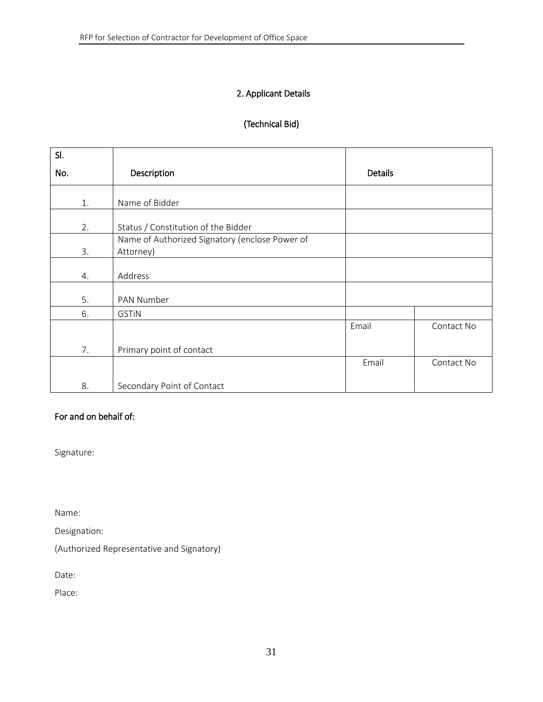## <span id="page-30-0"></span>2. Applicant Details

## (Technical Bid)

| SI. |                                                |         |            |
|-----|------------------------------------------------|---------|------------|
| No. | Description                                    | Details |            |
|     |                                                |         |            |
| 1.  | Name of Bidder                                 |         |            |
| 2.  | Status / Constitution of the Bidder            |         |            |
|     | Name of Authorized Signatory (enclose Power of |         |            |
| 3.  | Attorney)                                      |         |            |
|     |                                                |         |            |
| 4.  | Address                                        |         |            |
|     |                                                |         |            |
| 5.  | PAN Number                                     |         |            |
| 6.  | <b>GSTIN</b>                                   |         |            |
|     |                                                | Email   | Contact No |
|     |                                                |         |            |
| 7.  | Primary point of contact                       |         |            |
|     |                                                | Email   | Contact No |
|     |                                                |         |            |
| 8.  | Secondary Point of Contact                     |         |            |

# For and on behalf of:

Signature:

Name:

Designation:

(Authorized Representative and Signatory)

Date:

Place: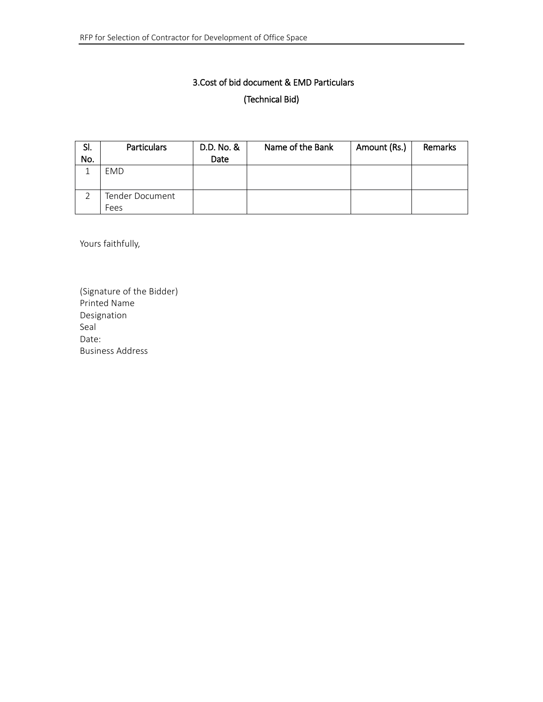# 3.Cost of bid document & EMD Particulars (Technical Bid)

<span id="page-31-0"></span>

| SI. | <b>Particulars</b> | D.D. No. & | Name of the Bank | Amount (Rs.) | Remarks |
|-----|--------------------|------------|------------------|--------------|---------|
| No. |                    | Date       |                  |              |         |
|     | <b>EMD</b>         |            |                  |              |         |
|     | Tender Document    |            |                  |              |         |
|     | Fees               |            |                  |              |         |

Yours faithfully,

(Signature of the Bidder) Printed Name Designation Seal Date: Business Address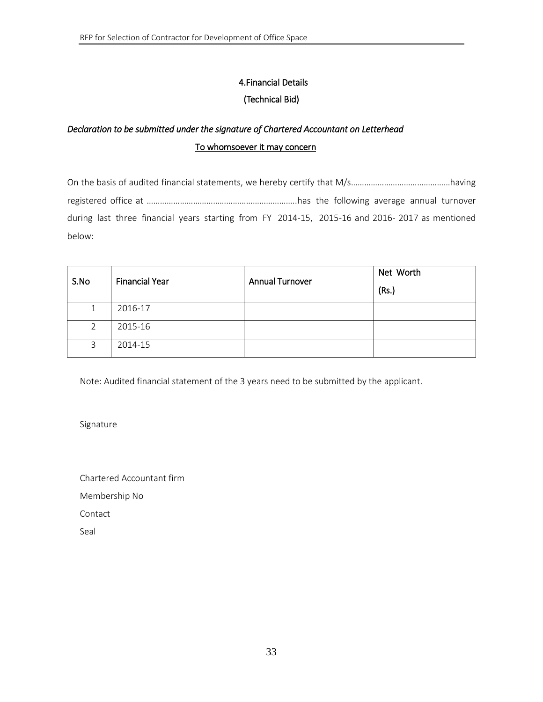# 4.Financial Details

# (Technical Bid)

# <span id="page-32-0"></span>*Declaration to be submitted under the signature of Chartered Accountant on Letterhead* To whomsoever it may concern

On the basis of audited financial statements, we hereby certify that M/s………………………………………having registered office at …………………………………………………………..has the following average annual turnover during last three financial years starting from FY 2014-15, 2015-16 and 2016- 2017 as mentioned below:

|      | <b>Financial Year</b> | <b>Annual Turnover</b> | Net Worth |
|------|-----------------------|------------------------|-----------|
| S.No |                       |                        | (Rs.)     |
|      | 2016-17               |                        |           |
| 2    | 2015-16               |                        |           |
| 3    | 2014-15               |                        |           |

Note: Audited financial statement of the 3 years need to be submitted by the applicant.

Signature

Chartered Accountant firm Membership No

Contact

Seal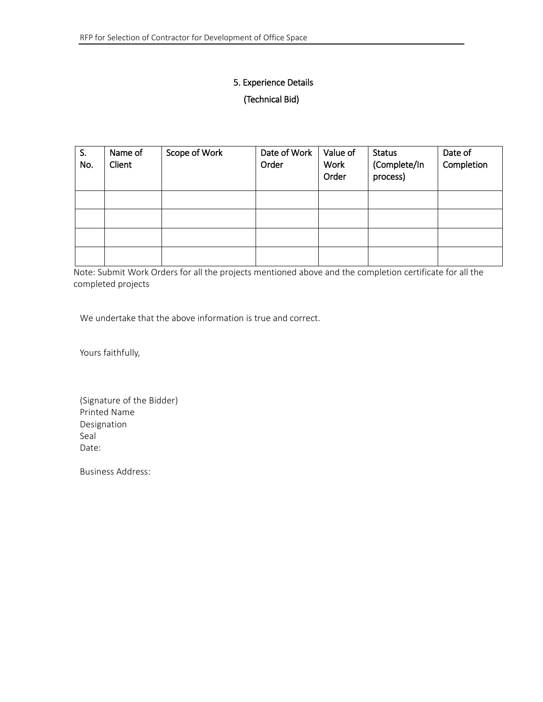# <span id="page-33-0"></span>5. Experience Details (Technical Bid)

| S.<br>No. | Name of<br>Client | Scope of Work | Date of Work<br>Order | Value of<br>Work<br>Order | <b>Status</b><br>(Complete/In<br>process) | Date of<br>Completion |
|-----------|-------------------|---------------|-----------------------|---------------------------|-------------------------------------------|-----------------------|
|           |                   |               |                       |                           |                                           |                       |
|           |                   |               |                       |                           |                                           |                       |
|           |                   |               |                       |                           |                                           |                       |
|           |                   |               |                       |                           |                                           |                       |

Note: Submit Work Orders for all the projects mentioned above and the completion certificate for all the completed projects

We undertake that the above information is true and correct.

Yours faithfully,

(Signature of the Bidder) Printed Name Designation Seal Date:

Business Address: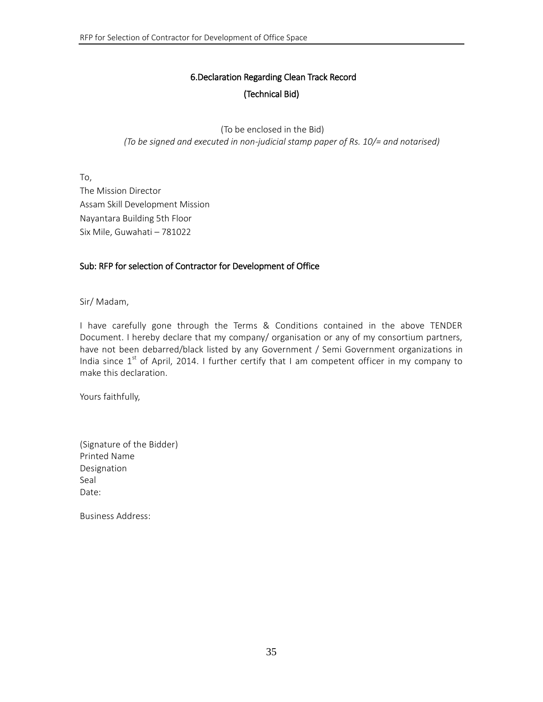# 6.Declaration Regarding Clean Track Record (Technical Bid)

<span id="page-34-0"></span>(To be enclosed in the Bid) *(To be signed and executed in non-judicial stamp paper of Rs. 10/= and notarised)*

To, The Mission Director Assam Skill Development Mission Nayantara Building 5th Floor Six Mile, Guwahati – 781022

#### Sub: RFP for selection of Contractor for Development of Office

Sir/ Madam,

I have carefully gone through the Terms & Conditions contained in the above TENDER Document. I hereby declare that my company/ organisation or any of my consortium partners, have not been debarred/black listed by any Government / Semi Government organizations in India since  $1^{st}$  of April, 2014. I further certify that I am competent officer in my company to make this declaration.

Yours faithfully,

(Signature of the Bidder) Printed Name Designation Seal Date:

Business Address: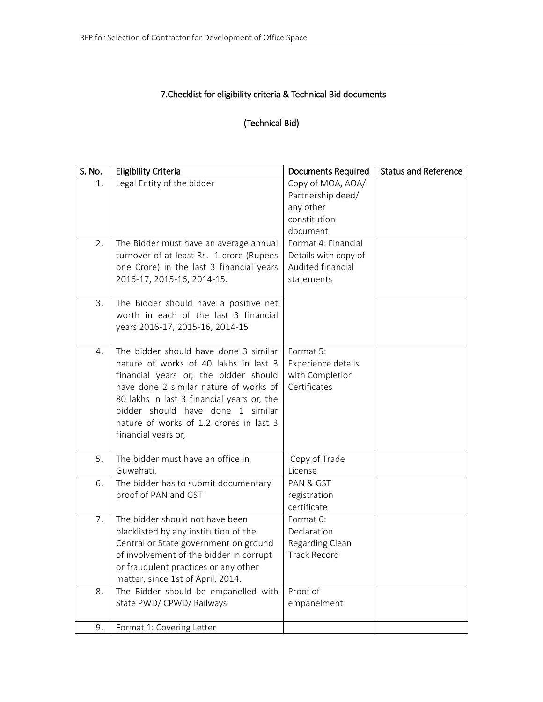# <span id="page-35-0"></span>7.Checklist for eligibility criteria & Technical Bid documents

### (Technical Bid)

| S. No. | <b>Eligibility Criteria</b>                                                                                                                                                                                                                                                                                            | <b>Documents Required</b>                                                       | <b>Status and Reference</b> |
|--------|------------------------------------------------------------------------------------------------------------------------------------------------------------------------------------------------------------------------------------------------------------------------------------------------------------------------|---------------------------------------------------------------------------------|-----------------------------|
| 1.     | Legal Entity of the bidder                                                                                                                                                                                                                                                                                             | Copy of MOA, AOA/<br>Partnership deed/<br>any other<br>constitution<br>document |                             |
| 2.     | The Bidder must have an average annual<br>turnover of at least Rs. 1 crore (Rupees<br>one Crore) in the last 3 financial years<br>2016-17, 2015-16, 2014-15.                                                                                                                                                           | Format 4: Financial<br>Details with copy of<br>Audited financial<br>statements  |                             |
| 3.     | The Bidder should have a positive net<br>worth in each of the last 3 financial<br>years 2016-17, 2015-16, 2014-15                                                                                                                                                                                                      |                                                                                 |                             |
| 4.     | The bidder should have done 3 similar<br>nature of works of 40 lakhs in last 3<br>financial years or, the bidder should<br>have done 2 similar nature of works of<br>80 lakhs in last 3 financial years or, the<br>bidder should have done 1 similar<br>nature of works of 1.2 crores in last 3<br>financial years or, | Format 5:<br>Experience details<br>with Completion<br>Certificates              |                             |
| 5.     | The bidder must have an office in<br>Guwahati.                                                                                                                                                                                                                                                                         | Copy of Trade<br>License                                                        |                             |
| 6.     | The bidder has to submit documentary<br>proof of PAN and GST                                                                                                                                                                                                                                                           | PAN & GST<br>registration<br>certificate                                        |                             |
| 7.     | The bidder should not have been<br>blacklisted by any institution of the<br>Central or State government on ground<br>of involvement of the bidder in corrupt<br>or fraudulent practices or any other<br>matter, since 1st of April, 2014.                                                                              | Format 6:<br>Declaration<br>Regarding Clean<br><b>Track Record</b>              |                             |
| 8.     | The Bidder should be empanelled with<br>State PWD/ CPWD/ Railways                                                                                                                                                                                                                                                      | Proof of<br>empanelment                                                         |                             |
| 9.     | Format 1: Covering Letter                                                                                                                                                                                                                                                                                              |                                                                                 |                             |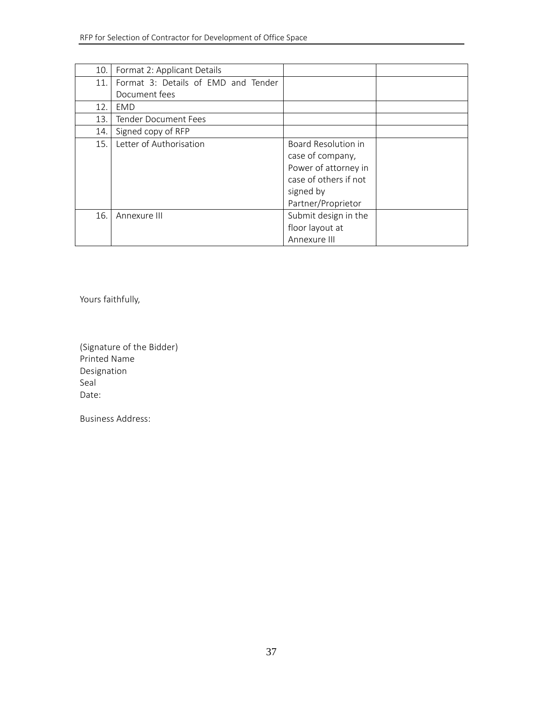| 10. | Format 2: Applicant Details         |                                                                                                                             |  |
|-----|-------------------------------------|-----------------------------------------------------------------------------------------------------------------------------|--|
| 11. | Format 3: Details of EMD and Tender |                                                                                                                             |  |
|     | Document fees                       |                                                                                                                             |  |
| 12. | EMD                                 |                                                                                                                             |  |
| 13. | Tender Document Fees                |                                                                                                                             |  |
| 14. | Signed copy of RFP                  |                                                                                                                             |  |
| 15. | Letter of Authorisation             | Board Resolution in<br>case of company,<br>Power of attorney in<br>case of others if not<br>signed by<br>Partner/Proprietor |  |
| 16. | Annexure III                        | Submit design in the<br>floor layout at<br>Annexure III                                                                     |  |

Yours faithfully,

(Signature of the Bidder) Printed Name Designation Seal Date:

<span id="page-36-0"></span>Business Address: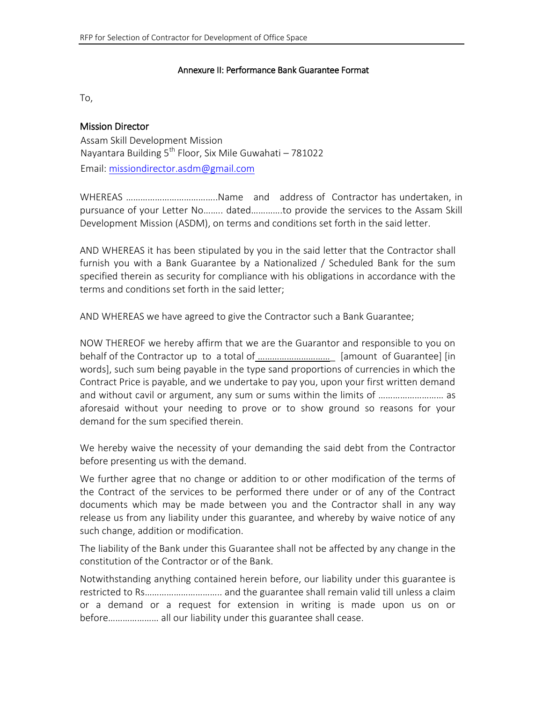#### Annexure II: Performance Bank Guarantee Format

To,

#### Mission Director

Assam Skill Development Mission Nayantara Building  $5^{th}$  Floor, Six Mile Guwahati – 781022 Email: missiondirector.asdm@gmail.com

WHEREAS ………………………………..Name and address of Contractor has undertaken, in pursuance of your Letter No…….. dated………….to provide the services to the Assam Skill Development Mission (ASDM), on terms and conditions set forth in the said letter.

AND WHEREAS it has been stipulated by you in the said letter that the Contractor shall furnish you with a Bank Guarantee by a Nationalized / Scheduled Bank for the sum specified therein as security for compliance with his obligations in accordance with the terms and conditions set forth in the said letter;

AND WHEREAS we have agreed to give the Contractor such a Bank Guarantee;

NOW THEREOF we hereby affirm that we are the Guarantor and responsible to you on behalf of the Contractor up to a total of …………………………\_ [amount of Guarantee] [in words], such sum being payable in the type sand proportions of currencies in which the Contract Price is payable, and we undertake to pay you, upon your first written demand and without cavil or argument, any sum or sums within the limits of ............................. as aforesaid without your needing to prove or to show ground so reasons for your demand for the sum specified therein.

We hereby waive the necessity of your demanding the said debt from the Contractor before presenting us with the demand.

We further agree that no change or addition to or other modification of the terms of the Contract of the services to be performed there under or of any of the Contract documents which may be made between you and the Contractor shall in any way release us from any liability under this guarantee, and whereby by waive notice of any such change, addition or modification.

The liability of the Bank under this Guarantee shall not be affected by any change in the constitution of the Contractor or of the Bank.

Notwithstanding anything contained herein before, our liability under this guarantee is restricted to Rs………………………….. and the guarantee shall remain valid till unless a claim or a demand or a request for extension in writing is made upon us on or before………………… all our liability under this guarantee shall cease.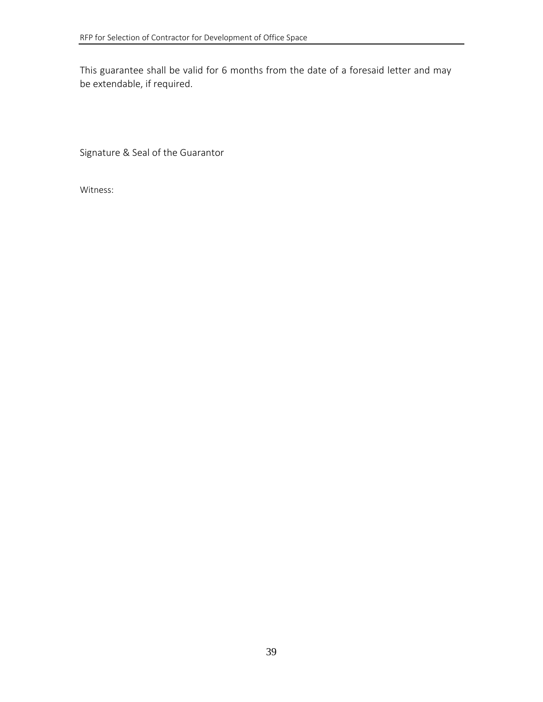This guarantee shall be valid for 6 months from the date of a foresaid letter and may be extendable, if required.

Signature & Seal of the Guarantor

Witness: